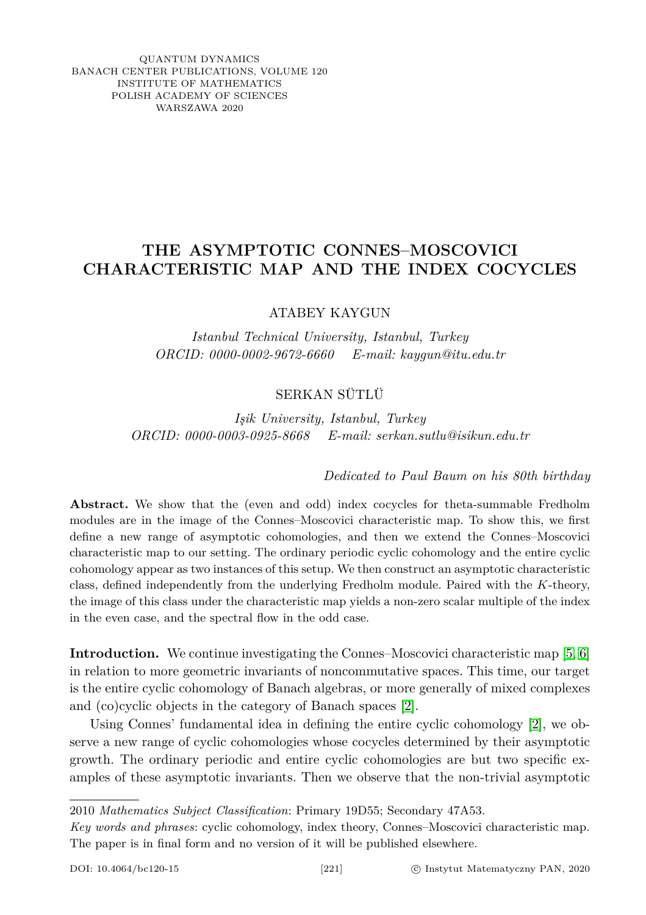QUANTUM DYNAMICS BANACH CENTER PUBLICATIONS, VOLUME 120 INSTITUTE OF MATHEMATICS POLISH ACADEMY OF SCIENCES WARSZAWA 2020

# **THE ASYMPTOTIC CONNES–MOSCOVICI CHARACTERISTIC MAP AND THE INDEX COCYCLES**

ATABEY KAYGUN

*Istanbul Technical University, Istanbul, Turkey ORCID: 0000-0002-9672-6660 E-mail: kaygun@itu.edu.tr*

## SERKAN SÜTLÜ

*Işik University, Istanbul, Turkey ORCID: 0000-0003-0925-8668 E-mail: serkan.sutlu@isikun.edu.tr*

### *Dedicated to Paul Baum on his 80th birthday*

Abstract. We show that the (even and odd) index cocycles for theta-summable Fredholm modules are in the image of the Connes–Moscovici characteristic map. To show this, we first define a new range of asymptotic cohomologies, and then we extend the Connes–Moscovici characteristic map to our setting. The ordinary periodic cyclic cohomology and the entire cyclic cohomology appear as two instances of this setup. We then construct an asymptotic characteristic class, defined independently from the underlying Fredholm module. Paired with the *K*-theory, the image of this class under the characteristic map yields a non-zero scalar multiple of the index in the even case, and the spectral flow in the odd case.

**Introduction.** We continue investigating the Connes–Moscovici characteristic map [\[5,](#page-22-0) [6\]](#page-22-1) in relation to more geometric invariants of noncommutative spaces. This time, our target is the entire cyclic cohomology of Banach algebras, or more generally of mixed complexes and (co)cyclic objects in the category of Banach spaces [\[2\]](#page-22-2).

Using Connes' fundamental idea in defining the entire cyclic cohomology [\[2\]](#page-22-2), we observe a new range of cyclic cohomologies whose cocycles determined by their asymptotic growth. The ordinary periodic and entire cyclic cohomologies are but two specific examples of these asymptotic invariants. Then we observe that the non-trivial asymptotic

<sup>2010</sup> *Mathematics Subject Classification*: Primary 19D55; Secondary 47A53.

*Key words and phrases*: cyclic cohomology, index theory, Connes–Moscovici characteristic map. The paper is in final form and no version of it will be published elsewhere.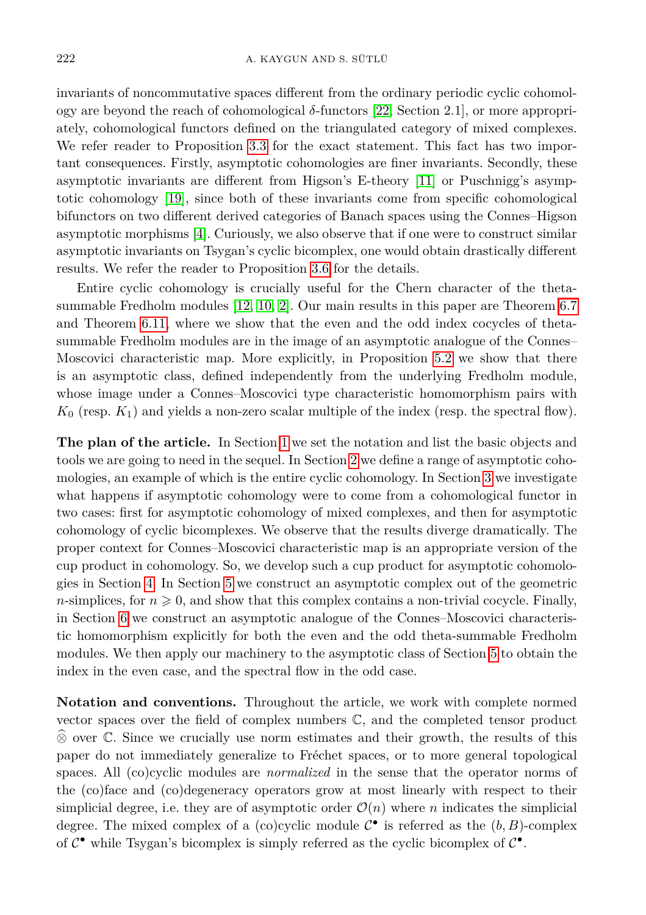invariants of noncommutative spaces different from the ordinary periodic cyclic cohomology are beyond the reach of cohomological *δ*-functors [\[22,](#page-23-0) Section 2.1], or more appropriately, cohomological functors defined on the triangulated category of mixed complexes. We refer reader to Proposition [3.3](#page-9-0) for the exact statement. This fact has two important consequences. Firstly, asymptotic cohomologies are finer invariants. Secondly, these asymptotic invariants are different from Higson's E-theory [\[11\]](#page-22-3) or Puschnigg's asymptotic cohomology [\[19\]](#page-23-1), since both of these invariants come from specific cohomological bifunctors on two different derived categories of Banach spaces using the Connes–Higson asymptotic morphisms [\[4\]](#page-22-4). Curiously, we also observe that if one were to construct similar asymptotic invariants on Tsygan's cyclic bicomplex, one would obtain drastically different results. We refer the reader to Proposition [3.6](#page-10-0) for the details.

Entire cyclic cohomology is crucially useful for the Chern character of the thetasummable Fredholm modules [\[12,](#page-22-5) [10,](#page-22-6) [2\]](#page-22-2). Our main results in this paper are Theorem [6.7](#page-20-0) and Theorem [6.11,](#page-21-0) where we show that the even and the odd index cocycles of thetasummable Fredholm modules are in the image of an asymptotic analogue of the Connes– Moscovici characteristic map. More explicitly, in Proposition [5.2](#page-14-0) we show that there is an asymptotic class, defined independently from the underlying Fredholm module, whose image under a Connes–Moscovici type characteristic homomorphism pairs with  $K_0$  (resp.  $K_1$ ) and yields a non-zero scalar multiple of the index (resp. the spectral flow).

**The plan of the article.** In Section [1](#page-2-0) we set the notation and list the basic objects and tools we are going to need in the sequel. In Section [2](#page-4-0) we define a range of asymptotic cohomologies, an example of which is the entire cyclic cohomology. In Section [3](#page-7-0) we investigate what happens if asymptotic cohomology were to come from a cohomological functor in two cases: first for asymptotic cohomology of mixed complexes, and then for asymptotic cohomology of cyclic bicomplexes. We observe that the results diverge dramatically. The proper context for Connes–Moscovici characteristic map is an appropriate version of the cup product in cohomology. So, we develop such a cup product for asymptotic cohomologies in Section [4.](#page-11-0) In Section [5](#page-13-0) we construct an asymptotic complex out of the geometric *n*-simplices, for  $n \geq 0$ , and show that this complex contains a non-trivial cocycle. Finally, in Section [6](#page-15-0) we construct an asymptotic analogue of the Connes–Moscovici characteristic homomorphism explicitly for both the even and the odd theta-summable Fredholm modules. We then apply our machinery to the asymptotic class of Section [5](#page-13-0) to obtain the index in the even case, and the spectral flow in the odd case.

**Notation and conventions.** Throughout the article, we work with complete normed vector spaces over the field of complex numbers  $\mathbb{C}$ , and the completed tensor product  $\hat{\otimes}$  over C. Since we crucially use norm estimates and their growth, the results of this paper do not immediately generalize to Fréchet spaces, or to more general topological spaces. All (co)cyclic modules are *normalized* in the sense that the operator norms of the (co)face and (co)degeneracy operators grow at most linearly with respect to their simplicial degree, i.e. they are of asymptotic order  $\mathcal{O}(n)$  where *n* indicates the simplicial degree. The mixed complex of a (co)cyclic module  $\mathcal{C}^{\bullet}$  is referred as the  $(b, B)$ -complex of  $C^{\bullet}$  while Tsygan's bicomplex is simply referred as the cyclic bicomplex of  $C^{\bullet}$ .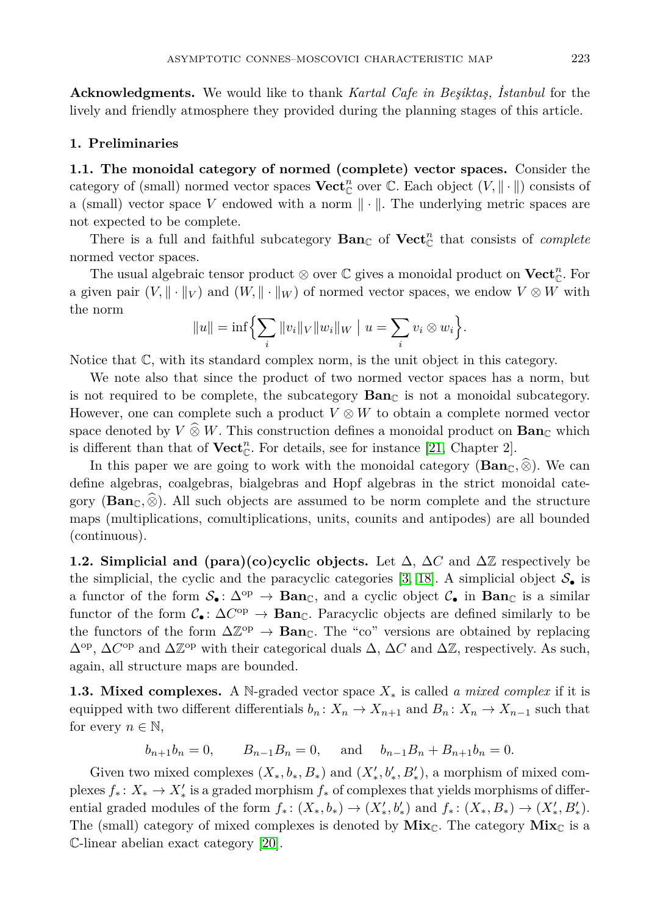**Acknowledgments.** We would like to thank *Kartal Cafe in Beşiktaş, İstanbul* for the lively and friendly atmosphere they provided during the planning stages of this article.

#### <span id="page-2-0"></span>**1. Preliminaries**

**1.1. The monoidal category of normed (complete) vector spaces.** Consider the category of (small) normed vector spaces  $\mathbf{Vect}_{\mathbb{C}}^n$  over  $\mathbb{C}$ . Each object  $(V, \|\cdot\|)$  consists of a (small) vector space V endowed with a norm  $\|\cdot\|$ . The underlying metric spaces are not expected to be complete.

There is a full and faithful subcategory  $\textbf{Ban}_{\mathbb{C}}$  of  $\textbf{Vect}_{\mathbb{C}}^n$  that consists of *complete* normed vector spaces.

The usual algebraic tensor product  $\otimes$  over  $\mathbb C$  gives a monoidal product on  $\mathbf{Vect}_{\mathbb C}^n$ . For a given pair  $(V, \|\cdot\|_V)$  and  $(W, \|\cdot\|_W)$  of normed vector spaces, we endow  $V \otimes W$  with the norm

$$
||u|| = \inf \Biggl\{ \sum_{i} ||v_i||_V ||w_i||_W \mid u = \sum_{i} v_i \otimes w_i \Biggr\}.
$$

Notice that C, with its standard complex norm, is the unit object in this category.

We note also that since the product of two normed vector spaces has a norm, but is not required to be complete, the subcategory  $\text{Ban}_{\mathbb{C}}$  is not a monoidal subcategory. However, one can complete such a product *V* ⊗ *W* to obtain a complete normed vector space denoted by  $V \otimes W$ . This construction defines a monoidal product on **Ban**<sub>C</sub> which is different than that of  $\mathbf{Vect}_{\mathbb{C}}^n$ . For details, see for instance [\[21,](#page-23-2) Chapter 2].

In this paper we are going to work with the monoidal category ( $\textbf{Ban}_{\mathbb{C}}$ ,  $\hat{\otimes}$ ). We can define algebras, coalgebras, bialgebras and Hopf algebras in the strict monoidal category ( $\mathbf{Ban}_{\mathbb{C}}$ ,  $\widehat{\otimes}$ ). All such objects are assumed to be norm complete and the structure maps (multiplications, comultiplications, units, counits and antipodes) are all bounded (continuous).

**1.2. Simplicial and (para)(co)cyclic objects.** Let  $\Delta$ ,  $\Delta C$  and  $\Delta \mathbb{Z}$  respectively be the simplicial, the cyclic and the paracyclic categories [\[3,](#page-22-7) [18\]](#page-23-3). A simplicial object  $S_{\bullet}$  is a functor of the form  $S_{\bullet} : \Delta^{\text{op}} \to \text{Ban}_{\mathbb{C}}$ , and a cyclic object  $\mathcal{C}_{\bullet}$  in  $\text{Ban}_{\mathbb{C}}$  is a similar functor of the form  $C_{\bullet}$ :  $\Delta C^{\text{op}} \to \text{Ban}_{\mathbb{C}}$ . Paracyclic objects are defined similarly to be the functors of the form  $\Delta \mathbb{Z}^{\text{op}} \to \text{Ban}_{\mathbb{C}}$ . The "co" versions are obtained by replacing  $\Delta^{op}$ ,  $\Delta C^{op}$  and  $\Delta \mathbb{Z}^{op}$  with their categorical duals  $\Delta$ ,  $\Delta C$  and  $\Delta \mathbb{Z}$ , respectively. As such, again, all structure maps are bounded.

**1.3. Mixed complexes.** A N-graded vector space *X*<sup>∗</sup> is called *a mixed complex* if it is equipped with two different differentials  $b_n: X_n \to X_{n+1}$  and  $B_n: X_n \to X_{n-1}$  such that for every  $n \in \mathbb{N}$ ,

$$
b_{n+1}b_n = 0
$$
,  $B_{n-1}B_n = 0$ , and  $b_{n-1}B_n + B_{n+1}b_n = 0$ .

Given two mixed complexes  $(X_*, b_*, B_*)$  and  $(X'_*, b'_*, B'_*)$ , a morphism of mixed complexes  $f_*: X_* \to X'_*$  is a graded morphism  $f_*$  of complexes that yields morphisms of differential graded modules of the form  $f_*: (X_*, b_*) \to (X'_*, b'_*)$  and  $f_*: (X_*, B_*) \to (X'_*, B'_*)$ . The (small) category of mixed complexes is denoted by  $Mix_{\mathbb{C}}$ . The category  $Mix_{\mathbb{C}}$  is a C-linear abelian exact category [\[20\]](#page-23-4).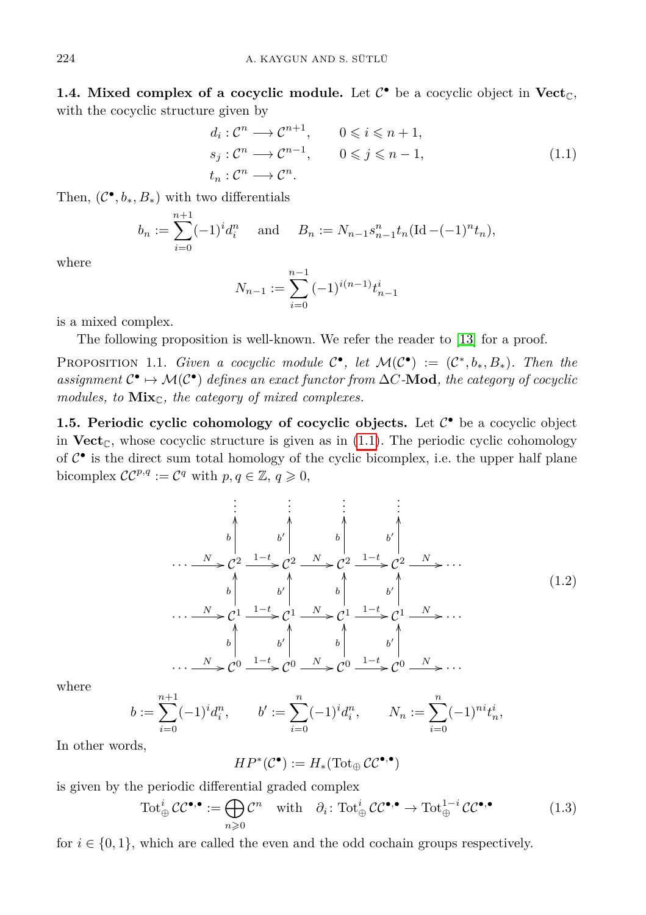**1.4. Mixed complex of a cocyclic module.** Let  $C^{\bullet}$  be a cocyclic object in  $Vect_{\mathbb{C}},$ with the cocyclic structure given by

$$
d_i: \mathcal{C}^n \longrightarrow \mathcal{C}^{n+1}, \qquad 0 \le i \le n+1,
$$
  
\n
$$
s_j: \mathcal{C}^n \longrightarrow \mathcal{C}^{n-1}, \qquad 0 \le j \le n-1,
$$
  
\n
$$
t_n: \mathcal{C}^n \longrightarrow \mathcal{C}^n.
$$
\n(1.1)

Then,  $(C^{\bullet}, b_*, B_*)$  with two differentials

$$
b_n := \sum_{i=0}^{n+1} (-1)^i d_i^n
$$
 and  $B_n := N_{n-1} s_{n-1}^n t_n (\text{Id} - (-1)^n t_n),$ 

where

<span id="page-3-0"></span>
$$
N_{n-1} := \sum_{i=0}^{n-1} (-1)^{i(n-1)} t_{n-1}^i
$$

is a mixed complex.

The following proposition is well-known. We refer the reader to [\[13\]](#page-22-8) for a proof.

PROPOSITION 1.1. *Given a cocyclic module*  $C^{\bullet}$ , *let*  $\mathcal{M}(C^{\bullet}) := (C^*, b_*, B_*)$ . Then the *assignment*  $\mathcal{C}^{\bullet}$  →  $\mathcal{M}(\mathcal{C}^{\bullet})$  *defines an exact functor from*  $\Delta C$ *-***Mod***, the category of cocyclic modules, to* **Mix**<sub>C</sub>*, the category of mixed complexes.* 

<span id="page-3-2"></span>**1.5. Periodic cyclic cohomology of cocyclic objects.** Let  $C^{\bullet}$  be a cocyclic object in  $\text{Vect}_{\mathbb{C}}$ , whose cocyclic structure is given as in [\(1.1\)](#page-3-0). The periodic cyclic cohomology of  $C^{\bullet}$  is the direct sum total homology of the cyclic bicomplex, i.e. the upper half plane bicomplex  $CC^{p,q} := C^q$  with  $p, q \in \mathbb{Z}, q \geqslant 0$ ,

<span id="page-3-3"></span>
$$
\begin{array}{ccc}\n\vdots & \vdots & \vdots & \vdots \\
b & b' & b' & b' \\
\hline\n\vdots & \vdots & \vdots & \vdots \\
\hline\n\vdots & \vdots & \vdots & \vdots \\
N & C^2 & \frac{1-t}{2} & C^2 & N & b' \\
\hline\n\vdots & \vdots & \vdots & \vdots \\
b & b' & b' & b' & b' \\
\hline\n\vdots & \vdots & \vdots & \vdots \\
\hline\n\vdots & \vdots & \vdots & \vdots \\
N & C^1 & \frac{1-t}{2} & C^1 & N & C^1 \\
\hline\n\vdots & \vdots & \vdots & \vdots \\
\hline\n\vdots & \vdots & \vdots & \vdots \\
N & C^0 & \frac{1-t}{2} & C^0 & N & C^0 & \frac{1-t}{2} & C^0 & N \end{array} \tag{1.2}
$$

where

$$
b := \sum_{i=0}^{n+1} (-1)^i d_i^n, \qquad b' := \sum_{i=0}^n (-1)^i d_i^n, \qquad N_n := \sum_{i=0}^n (-1)^{ni} t_n^i,
$$

In other words,

<span id="page-3-1"></span>
$$
HP^*(\mathcal{C}^\bullet):=H_*(\operatorname{Tot}_\oplus\mathcal{CC}^{\bullet,\bullet})
$$

is given by the periodic differential graded complex

$$
\operatorname{Tot}_{\oplus}^i \mathcal{CC}^{\bullet,\bullet} := \bigoplus_{n \geqslant 0} \mathcal{C}^n \quad \text{with} \quad \partial_i \colon \operatorname{Tot}_{\oplus}^i \mathcal{CC}^{\bullet,\bullet} \to \operatorname{Tot}_{\oplus}^{1-i} \mathcal{CC}^{\bullet,\bullet} \tag{1.3}
$$

for  $i \in \{0, 1\}$ , which are called the even and the odd cochain groups respectively.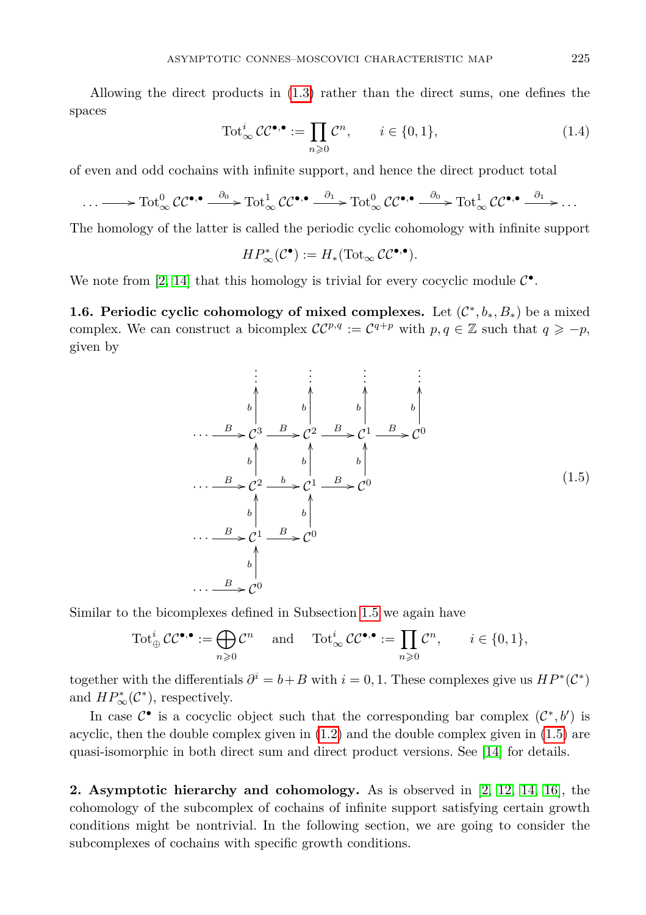Allowing the direct products in [\(1.3\)](#page-3-1) rather than the direct sums, one defines the spaces

$$
\operatorname{Tot}_{\infty}^{i} \mathcal{CC}^{\bullet, \bullet} := \prod_{n \geq 0} \mathcal{C}^n, \qquad i \in \{0, 1\},\tag{1.4}
$$

of even and odd cochains with infinite support, and hence the direct product total

$$
\cdots \longrightarrow \text{Tot}_{\infty}^0 \text{CC}^{\bullet,\bullet} \xrightarrow{\partial_0} \text{Tot}_{\infty}^1 \text{CC}^{\bullet,\bullet} \xrightarrow{\partial_1} \text{Tot}_{\infty}^0 \text{CC}^{\bullet,\bullet} \xrightarrow{\partial_0} \text{Tot}_{\infty}^1 \text{CC}^{\bullet,\bullet} \xrightarrow{\partial_1} \cdots
$$

The homology of the latter is called the periodic cyclic cohomology with infinite support

$$
HP^*_\infty(\mathcal{C}^\bullet):=H_*(\mathrm{Tot}_\infty\,\mathcal{CC}^{\bullet,\bullet}).
$$

We note from [\[2,](#page-22-2) [14\]](#page-22-9) that this homology is trivial for every cocyclic module  $\mathcal{C}^{\bullet}$ .

<span id="page-4-1"></span>**1.6. Periodic cyclic cohomology of mixed complexes.** Let  $(\mathcal{C}^*, b_*, B_*)$  be a mixed complex. We can construct a bicomplex  $CC^{p,q} := C^{q+p}$  with  $p, q \in \mathbb{Z}$  such that  $q \geq -p$ , given by

$$
\begin{array}{ccc}\n\vdots & \vdots & \vdots & \vdots \\
\downarrow & \downarrow & \downarrow & \downarrow \\
b & b & b & b & b \\
\cdots & \searrow & c^3 \xrightarrow{B} & c^2 \xrightarrow{B} & c^1 \xrightarrow{B} & c^0 \\
\downarrow & \downarrow & \downarrow & \downarrow & \downarrow \\
\cdots & \searrow & c^3 \xrightarrow{B} & c^2 \xrightarrow{b} & c^1 \xrightarrow{B} & c^0 \\
\cdots & \searrow & c^2 \xrightarrow{b} & c^1 \xrightarrow{B} & c^0 \\
\downarrow & \downarrow & \downarrow & \downarrow & \downarrow \\
\cdots & \searrow & c^1 \xrightarrow{B} & c^0 & \\
\cdots & \searrow & c^0 & \\
\cdots & \searrow & c^0 & \\
\end{array}
$$
\n(1.5)

Similar to the bicomplexes defined in Subsection [1.5](#page-3-2) we again have

$$
\operatorname{Tot}_{\oplus}^i \mathcal{CC}^{\bullet,\bullet} := \bigoplus_{n \geqslant 0} \mathcal{C}^n \quad \text{ and } \quad \operatorname{Tot}_{\infty}^i \mathcal{CC}^{\bullet,\bullet} := \prod_{n \geqslant 0} \mathcal{C}^n, \qquad i \in \{0,1\},
$$

together with the differentials  $\partial^i = b + B$  with  $i = 0, 1$ . These complexes give us  $HP^*(\mathcal{C}^*)$ and  $HP^*_{\infty}(\mathcal{C}^*)$ , respectively.

In case  $\mathcal{C}^{\bullet}$  is a cocyclic object such that the corresponding bar complex  $(\mathcal{C}^*, b')$  is acyclic, then the double complex given in [\(1.2\)](#page-3-3) and the double complex given in [\(1.5\)](#page-4-1) are quasi-isomorphic in both direct sum and direct product versions. See [\[14\]](#page-22-9) for details.

<span id="page-4-0"></span>**2. Asymptotic hierarchy and cohomology.** As is observed in [\[2,](#page-22-2) [12,](#page-22-5) [14,](#page-22-9) [16\]](#page-23-5), the cohomology of the subcomplex of cochains of infinite support satisfying certain growth conditions might be nontrivial. In the following section, we are going to consider the subcomplexes of cochains with specific growth conditions.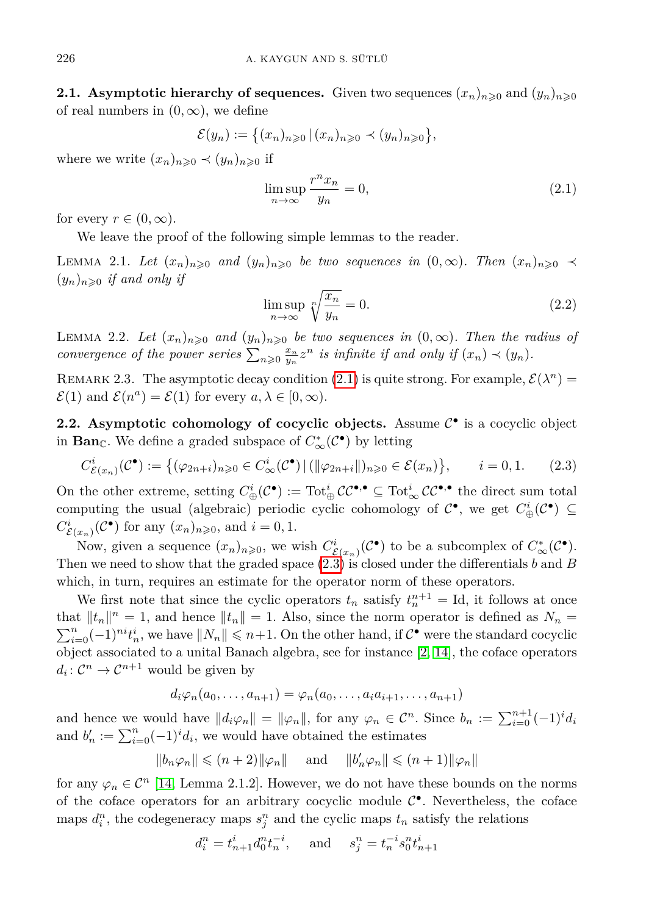**2.1.** Asymptotic hierarchy of sequences. Given two sequences  $(x_n)_{n\geqslant0}$  and  $(y_n)_{n\geqslant0}$ of real numbers in  $(0, \infty)$ , we define

$$
\mathcal{E}(y_n) := \left\{ (x_n)_{n \geqslant 0} \, | \, (x_n)_{n \geqslant 0} \prec (y_n)_{n \geqslant 0} \right\},\
$$

where we write  $(x_n)_{n\geq 0} \prec (y_n)_{n\geq 0}$  if

<span id="page-5-0"></span>
$$
\limsup_{n \to \infty} \frac{r^n x_n}{y_n} = 0,\tag{2.1}
$$

for every  $r \in (0, \infty)$ .

We leave the proof of the following simple lemmas to the reader.

LEMMA 2.1. Let  $(x_n)_{n\geqslant0}$  and  $(y_n)_{n\geqslant0}$  be two sequences in  $(0,\infty)$ . Then  $(x_n)_{n\geqslant0}$   $\prec$  $(y_n)_{n\geqslant 0}$  *if and only if* 

<span id="page-5-1"></span>
$$
\limsup_{n \to \infty} \sqrt[n]{\frac{x_n}{y_n}} = 0. \tag{2.2}
$$

LEMMA 2.2. Let  $(x_n)_{n\geqslant0}$  and  $(y_n)_{n\geqslant0}$  be two sequences in  $(0,\infty)$ . Then the radius of *convergence of the power series*  $\sum_{n\geqslant 0} \frac{x_n}{y_n} z^n$  *is infinite if and only if*  $(x_n) \prec (y_n)$ *.* 

REMARK 2.3. The asymptotic decay condition [\(2.1\)](#page-5-0) is quite strong. For example,  $\mathcal{E}(\lambda^n)$  $\mathcal{E}(1)$  and  $\mathcal{E}(n^a) = \mathcal{E}(1)$  for every  $a, \lambda \in [0, \infty)$ .

2.2. Asymptotic cohomology of cocyclic objects. Assume  $\mathcal{C}^{\bullet}$  is a cocyclic object in **Ban**<sub>C</sub>. We define a graded subspace of  $C^*_{\infty}(\mathcal{C}^{\bullet})$  by letting

$$
C^i_{\mathcal{E}(x_n)}(\mathcal{C}^{\bullet}) := \left\{ (\varphi_{2n+i})_{n \geq 0} \in C^i_{\infty}(\mathcal{C}^{\bullet}) \, | \, (\|\varphi_{2n+i}\|)_{n \geq 0} \in \mathcal{E}(x_n) \right\}, \qquad i = 0, 1. \tag{2.3}
$$

On the other extreme, setting  $C^i_{\oplus}(\mathcal{C}^{\bullet}) := \text{Tot}^i_{\oplus} \mathcal{CC}^{\bullet,\bullet} \subseteq \text{Tot}^i_{\infty} \mathcal{CC}^{\bullet,\bullet}$  the direct sum total computing the usual (algebraic) periodic cyclic cohomology of  $\mathcal{C}^{\bullet}$ , we get  $C_{\oplus}^{i}(\mathcal{C}^{\bullet}) \subseteq$  $C^i_{\mathcal{E}(x_n)}(\mathcal{C}^{\bullet})$  for any  $(x_n)_{n\geqslant0}$ , and  $i=0,1$ .

Now, given a sequence  $(x_n)_{n\geqslant0}$ , we wish  $C^i_{\mathcal{E}(x_n)}(\mathcal{C}^{\bullet})$  to be a subcomplex of  $C^*_{\infty}(\mathcal{C}^{\bullet})$ . Then we need to show that the graded space [\(2.3\)](#page-5-1) is closed under the differentials *b* and *B* which, in turn, requires an estimate for the operator norm of these operators.

We first note that since the cyclic operators  $t_n$  satisfy  $t_n^{n+1} = \text{Id}$ , it follows at once that  $||t_n||^n = 1$ , and hence  $||t_n|| = 1$ . Also, since the norm operator is defined as  $N_n =$  $\sum_{i=0}^{n}(-1)^{ni}t_{n}^{i}$ , we have  $||N_{n}|| \leq n+1$ . On the other hand, if  $C^{\bullet}$  were the standard cocyclic object associated to a unital Banach algebra, see for instance [\[2,](#page-22-2) [14\]](#page-22-9), the coface operators  $d_i: \mathcal{C}^n \to \mathcal{C}^{n+1}$  would be given by

$$
d_i\varphi_n(a_0,\ldots,a_{n+1})=\varphi_n(a_0,\ldots,a_ia_{i+1},\ldots,a_{n+1})
$$

and hence we would have  $||d_i\varphi_n|| = ||\varphi_n||$ , for any  $\varphi_n \in \mathcal{C}^n$ . Since  $b_n := \sum_{i=0}^{n+1} (-1)^i d_i$ and  $b'_n := \sum_{i=0}^n (-1)^i d_i$ , we would have obtained the estimates

$$
||b_n\varphi_n||\leqslant (n+2)||\varphi_n||\quad \text{ and }\quad ||b_n'\varphi_n||\leqslant (n+1)||\varphi_n||
$$

for any  $\varphi_n \in \mathcal{C}^n$  [\[14,](#page-22-9) Lemma 2.1.2]. However, we do not have these bounds on the norms of the coface operators for an arbitrary cocyclic module  $C^{\bullet}$ . Nevertheless, the coface maps  $d_i^n$ , the codegeneracy maps  $s_j^n$  and the cyclic maps  $t_n$  satisfy the relations

$$
d_i^n = t_{n+1}^i d_0^n t_n^{-i}
$$
, and  $s_j^n = t_n^{-i} s_0^n t_{n+1}^i$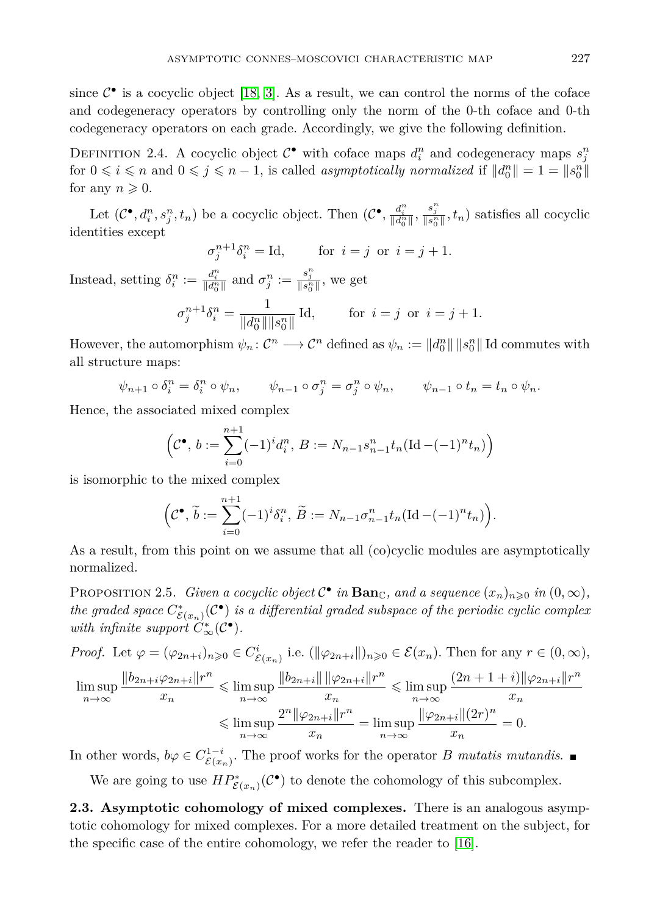since  $C^{\bullet}$  is a cocyclic object [\[18,](#page-23-3) [3\]](#page-22-7). As a result, we can control the norms of the coface and codegeneracy operators by controlling only the norm of the 0-th coface and 0-th codegeneracy operators on each grade. Accordingly, we give the following definition.

DEFINITION 2.4. A cocyclic object  $C^{\bullet}$  with coface maps  $d_i^n$  and codegeneracy maps  $s_j^n$ for  $0 \leq i \leq n$  and  $0 \leq j \leq n-1$ , is called *asymptotically normalized* if  $||d_0^n|| = 1 = ||s_0^n||$ for any  $n \geqslant 0$ .

Let  $(\mathcal{C}^{\bullet}, d_i^n, s_j^n, t_n)$  be a cocyclic object. Then  $(\mathcal{C}^{\bullet}, \frac{d_i^n}{\|d_0^n\|}, \frac{s_j^n}{\|s_0^n\|}, t_n)$  satisfies all cocyclic identities except

$$
\sigma_j^{n+1} \delta_i^n = \text{Id}, \qquad \text{for } i = j \text{ or } i = j+1.
$$

Instead, setting  $\delta_i^n := \frac{d_i^n}{\|d_0^n\|}$  and  $\sigma_j^n := \frac{s_j^n}{\|s_0^n\|}$ , we get  $\sigma_j^{n+1} \delta_i^n = \frac{1}{\|J^n\|}$  $\frac{1}{\|d_0^n\| \|s_0^n\|}$  Id, for  $i = j$  or  $i = j + 1$ .

However, the automorphism  $\psi_n: \mathcal{C}^n \longrightarrow \mathcal{C}^n$  defined as  $\psi_n := ||d_0^n|| \, ||s_0^n||$  Id commutes with all structure maps:

$$
\psi_{n+1} \circ \delta_i^n = \delta_i^n \circ \psi_n, \qquad \psi_{n-1} \circ \sigma_j^n = \sigma_j^n \circ \psi_n, \qquad \psi_{n-1} \circ t_n = t_n \circ \psi_n.
$$

Hence, the associated mixed complex

$$
\left(\mathcal{C}^{\bullet}, b := \sum_{i=0}^{n+1} (-1)^{i} d_{i}^{n}, B := N_{n-1} s_{n-1}^{n} t_{n} (\text{Id} - (-1)^{n} t_{n})\right)
$$

is isomorphic to the mixed complex

$$
\left(\mathcal{C}^{\bullet}, \widetilde{b} := \sum_{i=0}^{n+1} (-1)^i \delta_i^n, \widetilde{B} := N_{n-1} \sigma_{n-1}^n t_n (\mathrm{Id} - (-1)^n t_n)\right).
$$

As a result, from this point on we assume that all (co)cyclic modules are asymptotically normalized.

<span id="page-6-0"></span>PROPOSITION 2.5. *Given a cocyclic object*  $C^{\bullet}$  *in* **Ban**<sub>C</sub>*, and a sequence*  $(x_n)_{n\geqslant0}$  *in*  $(0,\infty)$ *, the graded space*  $C^*_{\mathcal{E}(x_n)}(\mathcal{C}^{\bullet})$  *is a differential graded subspace of the periodic cyclic complex with infinite support*  $C^*_{\infty}(\mathcal{C}^{\bullet})$ *.* 

*Proof.* Let  $\varphi = (\varphi_{2n+i})_{n \geqslant 0} \in C^i_{\mathcal{E}(x_n)}$  i.e.  $(\|\varphi_{2n+i}\|)_{n \geqslant 0} \in \mathcal{E}(x_n)$ . Then for any  $r \in (0, \infty)$ ,

$$
\limsup_{n \to \infty} \frac{\|b_{2n+i}\varphi_{2n+i}\|r^n}{x_n} \le \limsup_{n \to \infty} \frac{\|b_{2n+i}\| \|\varphi_{2n+i}\|r^n}{x_n} \le \limsup_{n \to \infty} \frac{(2n+1+i)\|\varphi_{2n+i}\|r^n}{x_n}
$$

$$
\le \limsup_{n \to \infty} \frac{2^n \|\varphi_{2n+i}\|r^n}{x_n} = \limsup_{n \to \infty} \frac{\|\varphi_{2n+i}\|(2r)^n}{x_n} = 0.
$$

In other words,  $b\varphi \in C^{1-i}_{\mathcal{E}(x_n)}$ . The proof works for the operator *B mutatis mutandis*.

We are going to use  $HP^*_{\mathcal{E}(x_n)}(\mathcal{C}^{\bullet})$  to denote the cohomology of this subcomplex.

**2.3. Asymptotic cohomology of mixed complexes.** There is an analogous asymptotic cohomology for mixed complexes. For a more detailed treatment on the subject, for the specific case of the entire cohomology, we refer the reader to [\[16\]](#page-23-5).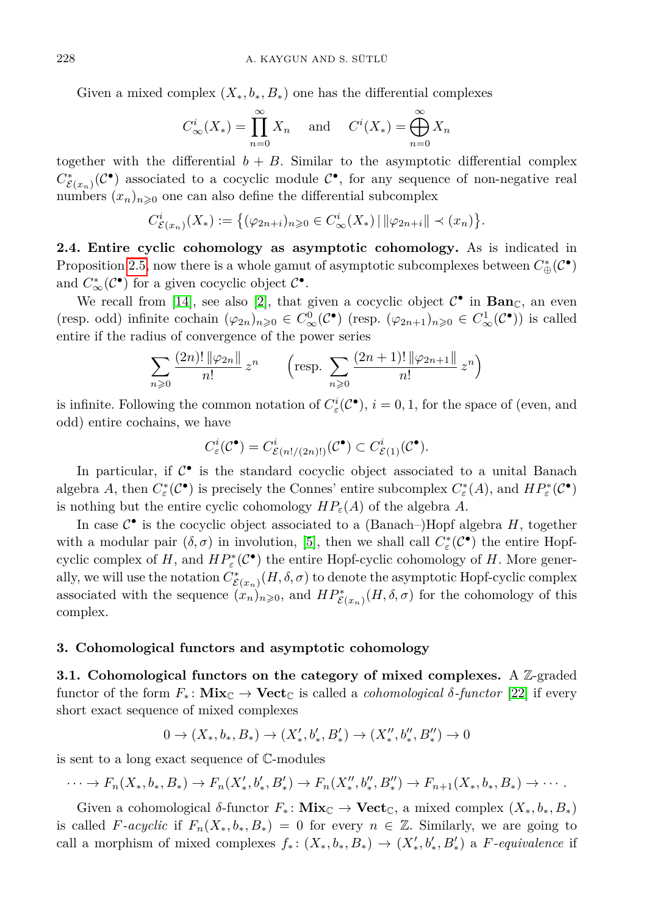Given a mixed complex  $(X_*, b_*, B_*)$  one has the differential complexes

$$
C^i_{\infty}(X_*) = \prod_{n=0}^{\infty} X_n \quad \text{and} \quad C^i(X_*) = \bigoplus_{n=0}^{\infty} X_n
$$

together with the differential  $b + B$ . Similar to the asymptotic differential complex  $C^*_{\mathcal{E}(x_n)}(\mathcal{C}^{\bullet})$  associated to a cocyclic module  $\mathcal{C}^{\bullet}$ , for any sequence of non-negative real numbers  $(x_n)_{n\geqslant 0}$  one can also define the differential subcomplex

$$
C^i_{\mathcal{E}(x_n)}(X_*) := \big\{ (\varphi_{2n+i})_{n \geqslant 0} \in C^i_{\infty}(X_*) \,|\, ||\varphi_{2n+i}|| \prec (x_n) \big\}.
$$

**2.4. Entire cyclic cohomology as asymptotic cohomology.** As is indicated in Proposition [2.5,](#page-6-0) now there is a whole gamut of asymptotic subcomplexes between  $C^*_{\oplus}(\mathcal{C}^{\bullet})$ and  $C^*_{\infty}(\mathcal{C}^{\bullet})$  for a given cocyclic object  $\mathcal{C}^{\bullet}$ .

We recall from [\[14\]](#page-22-9), see also [\[2\]](#page-22-2), that given a cocyclic object  $C^{\bullet}$  in **Ban**<sub>C</sub>, an even (resp. odd) infinite cochain  $(\varphi_{2n})_{n\geqslant0} \in C^0_\infty(\mathcal{C}^\bullet)$  (resp.  $(\varphi_{2n+1})_{n\geqslant0} \in C^1_\infty(\mathcal{C}^\bullet)$ ) is called entire if the radius of convergence of the power series

$$
\sum_{n\geqslant 0} \frac{(2n)! \|\varphi_{2n}\|}{n!} z^n \qquad \left(\text{resp. } \sum_{n\geqslant 0} \frac{(2n+1)! \|\varphi_{2n+1}\|}{n!} z^n\right)
$$

is infinite. Following the common notation of  $C^i_{\varepsilon}(\mathcal{C}^{\bullet}), i = 0, 1$ , for the space of (even, and odd) entire cochains, we have

$$
C^i_{\varepsilon}(\mathcal{C}^{\bullet}) = C^i_{\mathcal{E}(n!/(2n)!)}(\mathcal{C}^{\bullet}) \subset C^i_{\mathcal{E}(1)}(\mathcal{C}^{\bullet}).
$$

In particular, if  $C^{\bullet}$  is the standard cocyclic object associated to a unital Banach algebra *A*, then  $C^*_\varepsilon(\mathcal{C}^{\bullet})$  is precisely the Connes' entire subcomplex  $C^*_\varepsilon(A)$ , and  $HP^*_\varepsilon(\mathcal{C}^{\bullet})$ is nothing but the entire cyclic cohomology  $HP_{\varepsilon}(A)$  of the algebra A.

In case  $C^{\bullet}$  is the cocyclic object associated to a (Banach–)Hopf algebra  $H$ , together with a modular pair  $(\delta, \sigma)$  in involution, [\[5\]](#page-22-0), then we shall call  $C^*_{\varepsilon}(\mathcal{C}^{\bullet})$  the entire Hopfcyclic complex of *H*, and  $HP^*_{\varepsilon}(\mathcal{C}^{\bullet})$  the entire Hopf-cyclic cohomology of *H*. More generally, we will use the notation  $C^*_{\mathcal{E}(x_n)}(H,\delta,\sigma)$  to denote the asymptotic Hopf-cyclic complex associated with the sequence  $(x_n)_{n\geqslant0}$ , and  $HP^*_{\mathcal{E}(x_n)}(H,\delta,\sigma)$  for the cohomology of this complex.

#### <span id="page-7-0"></span>**3. Cohomological functors and asymptotic cohomology**

**3.1. Cohomological functors on the category of mixed complexes.** A Z-graded functor of the form  $F_*$ :  $\mathbf{Mix}_{\mathbb{C}} \to \mathbf{Vect}_{\mathbb{C}}$  is called a *cohomological*  $\delta$ -functor [\[22\]](#page-23-0) if every short exact sequence of mixed complexes

$$
0 \to (X_*,b_*,B_*) \to (X'_*,b'_*,B'_*) \to (X''_*,b''_*,B''_*) \to 0
$$

is sent to a long exact sequence of C-modules

$$
\cdots \to F_n(X_*, b_*, B_*) \to F_n(X'_*, b'_*, B'_*) \to F_n(X''_*, b''_*, B''_*) \to F_{n+1}(X_*, b_*, B_*) \to \cdots
$$

Given a cohomological  $\delta$ -functor  $F_*$ :  $\mathbf{Mix}_{\mathbb{C}} \to \mathbf{Vect}_{\mathbb{C}}$ , a mixed complex  $(X_*, b_*, B_*)$ is called *F*-acyclic if  $F_n(X_*, b_*, B_*) = 0$  for every  $n \in \mathbb{Z}$ . Similarly, we are going to call a morphism of mixed complexes  $f_*: (X_*, b_*, B_*) \to (X'_*, b'_*, B'_*)$  a *F*-equivalence if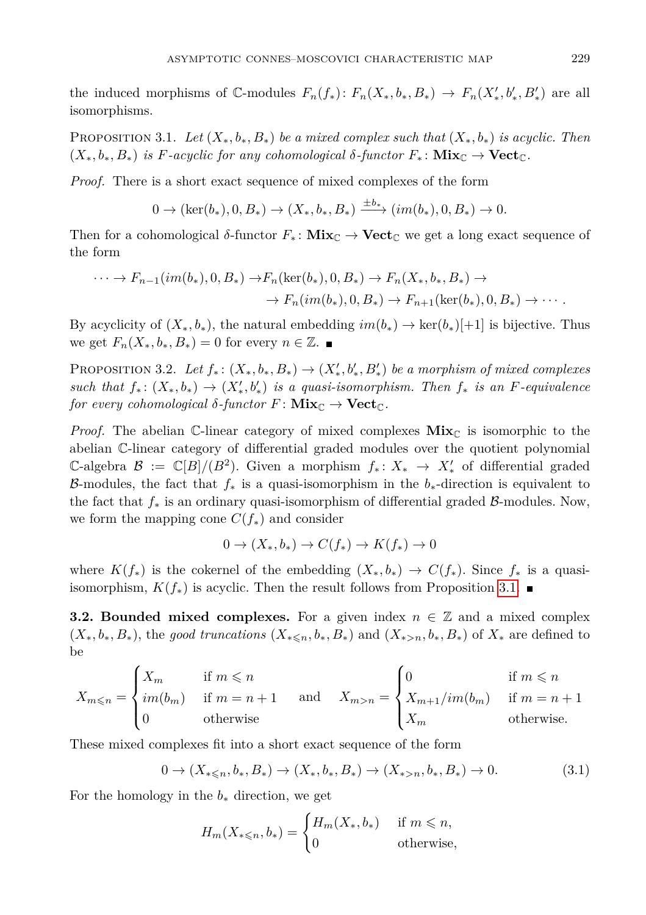the induced morphisms of  $\mathbb{C}$ -modules  $F_n(f_*)\colon F_n(X_*, b_*, B_*) \to F_n(X'_*, b'_*, B'_*)$  are all isomorphisms.

<span id="page-8-0"></span>PROPOSITION 3.1. Let  $(X_*, b_*, B_*)$  be a mixed complex such that  $(X_*, b_*)$  is acyclic. Then  $(X_*, b_*, B_*)$  *is F*-acyclic for any cohomological  $\delta$ -functor  $F_* : \textbf{Mix}_{\mathbb{C}} \to \textbf{Vect}_{\mathbb{C}}$ .

*Proof.* There is a short exact sequence of mixed complexes of the form

$$
0 \to (\ker(b_*), 0, B_*) \to (X_*, b_*, B_*) \xrightarrow{\pm b_*} (im(b_*), 0, B_*) \to 0.
$$

Then for a cohomological  $\delta$ -functor  $F_*$ :  $\mathbf{Mix}_{\mathbb{C}} \to \mathbf{Vect}_{\mathbb{C}}$  we get a long exact sequence of the form

$$
\cdots \to F_{n-1}(im(b_*), 0, B_*) \to F_n(\ker(b_*), 0, B_*) \to F_n(X_*, b_*, B_*) \to
$$
  

$$
\to F_n(im(b_*), 0, B_*) \to F_{n+1}(\ker(b_*), 0, B_*) \to \cdots.
$$

By acyclicity of  $(X_*, b_*)$ , the natural embedding  $im(b_*) \to \text{ker}(b_*)[+1]$  is bijective. Thus we get  $F_n(X_*, b_*, B_*) = 0$  for every  $n \in \mathbb{Z}$ .

PROPOSITION 3.2. Let  $f_*: (X_*, b_*, B_*) \to (X'_*, b'_*, B'_*)$  be a morphism of mixed complexes  $such that f_*: (X_*, b_*) \to (X'_*, b'_*)$  *is a quasi-isomorphism. Then*  $f_*$  *is an*  $F$ -equivalence *for every cohomological*  $\delta$ *-functor*  $F:$   $Mix_{\mathbb{C}} \to$   $Vect_{\mathbb{C}}$ *.* 

*Proof.* The abelian C-linear category of mixed complexes  $Mix_{\mathbb{C}}$  is isomorphic to the abelian C-linear category of differential graded modules over the quotient polynomial C-algebra  $\mathcal{B}$  := C[B]/(B<sup>2</sup>). Given a morphism  $f_*: X_* → X'_*$  of differential graded B-modules, the fact that *f*<sup>∗</sup> is a quasi-isomorphism in the *b*∗-direction is equivalent to the fact that  $f_*$  is an ordinary quasi-isomorphism of differential graded  $\beta$ -modules. Now, we form the mapping cone  $C(f_*)$  and consider

$$
0 \to (X_*, b_*) \to C(f_*) \to K(f_*) \to 0
$$

where  $K(f_*)$  is the cokernel of the embedding  $(X_*, b_*) \to C(f_*)$ . Since  $f_*$  is a quasiisomorphism,  $K(f_*)$  is acyclic. Then the result follows from Proposition [3.1.](#page-8-0)

**3.2. Bounded mixed complexes.** For a given index  $n \in \mathbb{Z}$  and a mixed complex  $(X_*, b_*, B_*)$ , the *good truncations*  $(X_{*\leq n}, b_*, B_*)$  and  $(X_{*\geq n}, b_*, B_*)$  of  $X_*$  are defined to be

$$
X_{m \leqslant n} = \begin{cases} X_m & \text{if } m \leqslant n \\ im(b_m) & \text{if } m = n+1 \\ 0 & \text{otherwise} \end{cases} \quad \text{and} \quad X_{m > n} = \begin{cases} 0 & \text{if } m \leqslant n \\ X_{m+1}/im(b_m) & \text{if } m = n+1 \\ X_m & \text{otherwise.} \end{cases}
$$

These mixed complexes fit into a short exact sequence of the form

$$
0 \to (X_{* \leq n}, b_{*}, B_{*}) \to (X_{*}, b_{*}, B_{*}) \to (X_{*>n}, b_{*}, B_{*}) \to 0. \tag{3.1}
$$

For the homology in the *b*<sup>∗</sup> direction, we get

$$
H_m(X_{*\leq n}, b_*) = \begin{cases} H_m(X_*, b_*) & \text{if } m \leq n, \\ 0 & \text{otherwise,} \end{cases}
$$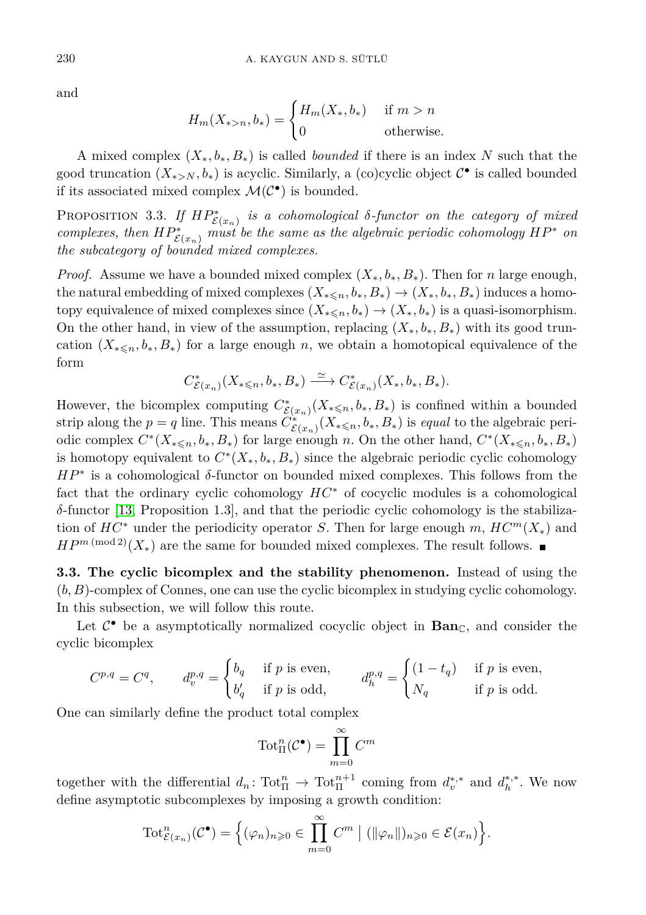and

$$
H_m(X_{*>n}, b_*) = \begin{cases} H_m(X_*, b_*) & \text{if } m > n \\ 0 & \text{otherwise.} \end{cases}
$$

A mixed complex (*X*∗*, b*∗*, B*∗) is called *bounded* if there is an index *N* such that the good truncation  $(X_{*>N}, b_*)$  is acyclic. Similarly, a (co)cyclic object  $\mathcal{C}^{\bullet}$  is called bounded if its associated mixed complex  $\mathcal{M}(\mathcal{C}^{\bullet})$  is bounded.

<span id="page-9-0"></span>PROPOSITION 3.3. If  $HP^*_{\mathcal{E}(x_n)}$  is a cohomological  $\delta$ -functor on the category of mixed *complexes, then*  $HP^*_{\mathcal{E}(x_n)}$  *must be the same as the algebraic periodic cohomology*  $HP^*$  *on the subcategory of bounded mixed complexes.*

*Proof.* Assume we have a bounded mixed complex  $(X_*, b_*, B_*)$ . Then for *n* large enough, the natural embedding of mixed complexes  $(X_{* \leq n}, b_*, B_*) \rightarrow (X_*, b_*, B_*)$  induces a homotopy equivalence of mixed complexes since  $(X_{* \leq n}, b_*) \to (X_*, b_*)$  is a quasi-isomorphism. On the other hand, in view of the assumption, replacing  $(X_*, b_*, B_*)$  with its good truncation  $(X_{* \leq n}, b_*, B_*)$  for a large enough *n*, we obtain a homotopical equivalence of the form

$$
C^*_{\mathcal{E}(x_n)}(X_{* \leq n}, b_*, B_*) \xrightarrow{\simeq} C^*_{\mathcal{E}(x_n)}(X_*, b_*, B_*).
$$

However, the bicomplex computing  $C^*_{\mathcal{E}(x_n)}(X_{*\leq n}, b_*, B_*)$  is confined within a bounded strip along the  $p = q$  line. This means  $C^*_{\mathcal{E}(x_n)}(X_{*\leq n}, b_*, B_*)$  is *equal* to the algebraic periodic complex  $C^*(X_{*\leq n}, b_*, B_*)$  for large enough *n*. On the other hand,  $C^*(X_{*\leq n}, b_*, B_*)$ is homotopy equivalent to  $C^*(X_*, b_*, B_*)$  since the algebraic periodic cyclic cohomology *HP*<sup>∗</sup> is a cohomological δ-functor on bounded mixed complexes. This follows from the fact that the ordinary cyclic cohomology *HC*<sup>∗</sup> of cocyclic modules is a cohomological *δ*-functor [\[13,](#page-22-8) Proposition 1.3], and that the periodic cyclic cohomology is the stabilization of  $HC^*$  under the periodicity operator *S*. Then for large enough *m*,  $HC^m(X_*)$  and *HP*<sup>*m* (mod 2)</sup>( $X_*$ ) are the same for bounded mixed complexes. The result follows. ■

**3.3. The cyclic bicomplex and the stability phenomenon.** Instead of using the (*b, B*)-complex of Connes, one can use the cyclic bicomplex in studying cyclic cohomology. In this subsection, we will follow this route.

Let  $C^{\bullet}$  be a asymptotically normalized cocyclic object in  $\text{Ban}_{\mathbb{C}}$ , and consider the cyclic bicomplex

$$
C^{p,q} = C^q, \t d_v^{p,q} = \begin{cases} b_q & \text{if } p \text{ is even,} \\ b'_q & \text{if } p \text{ is odd,} \end{cases} \t d_h^{p,q} = \begin{cases} (1 - t_q) & \text{if } p \text{ is even,} \\ N_q & \text{if } p \text{ is odd.} \end{cases}
$$

One can similarly define the product total complex

$$
\operatorname{Tot}^n_\Pi(\mathcal{C}^\bullet) = \prod_{m=0}^\infty C^m
$$

together with the differential  $d_n$ : Tot $_{\Pi}^n \to$  Tot $_{\Pi}^{n+1}$  coming from  $d_v^{*,*}$  and  $d_h^{*,*}$ . We now define asymptotic subcomplexes by imposing a growth condition:

$$
\mathrm{Tot}^n_{\mathcal{E}(x_n)}(\mathcal{C}^{\bullet}) = \left\{ (\varphi_n)_{n \geqslant 0} \in \prod_{m=0}^{\infty} C^m \mid (\|\varphi_n\|)_{n \geqslant 0} \in \mathcal{E}(x_n) \right\}.
$$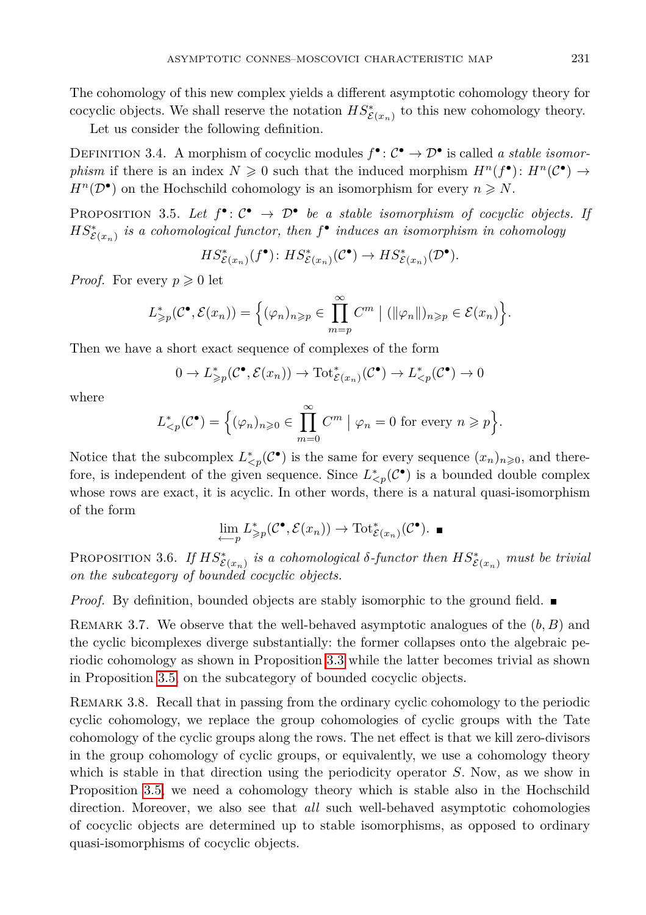The cohomology of this new complex yields a different asymptotic cohomology theory for cocyclic objects. We shall reserve the notation  $HS_{\mathcal{E}(x_n)}^*$  to this new cohomology theory.

Let us consider the following definition.

DEFINITION 3.4. A morphism of cocyclic modules  $f^{\bullet} : C^{\bullet} \to \mathcal{D}^{\bullet}$  is called *a stable isomorphism* if there is an index  $N \geq 0$  such that the induced morphism  $H^n(f^{\bullet})$ :  $H^n(\mathcal{C}^{\bullet}) \to$  $H^n(\mathcal{D}^{\bullet})$  on the Hochschild cohomology is an isomorphism for every  $n \geq N$ .

<span id="page-10-1"></span>PROPOSITION 3.5. Let  $f^{\bullet} : \mathcal{C}^{\bullet} \to \mathcal{D}^{\bullet}$  be a stable isomorphism of cocyclic objects. If  $HS_{\mathcal{E}(x_n)}^*$  *is a cohomological functor, then*  $f^{\bullet}$  *induces an isomorphism in cohomology* 

$$
HS_{\mathcal{E}(x_n)}^*(f^{\bullet}) : HS_{\mathcal{E}(x_n)}^*(\mathcal{C}^{\bullet}) \to HS_{\mathcal{E}(x_n)}^*(\mathcal{D}^{\bullet}).
$$

*Proof.* For every  $p \geq 0$  let

$$
L_{\geq p}^*(\mathcal{C}^\bullet, \mathcal{E}(x_n)) = \Big\{(\varphi_n)_{n \geq p} \in \prod_{m=p}^{\infty} C^m \mid (\|\varphi_n\|)_{n \geq p} \in \mathcal{E}(x_n) \Big\}.
$$

Then we have a short exact sequence of complexes of the form

$$
0 \to L^*_{\geq p}(\mathcal{C}^\bullet, \mathcal{E}(x_n)) \to \mathrm{Tot}^*_{\mathcal{E}(x_n)}(\mathcal{C}^\bullet) \to L^*_{
$$

where

$$
L_{\leq p}^*(\mathcal{C}^{\bullet}) = \left\{ (\varphi_n)_{n \geqslant 0} \in \prod_{m=0}^{\infty} C^m \mid \varphi_n = 0 \text{ for every } n \geqslant p \right\}.
$$

Notice that the subcomplex  $L^*_{\leq p}(\mathcal{C}^{\bullet})$  is the same for every sequence  $(x_n)_{n\geqslant0}$ , and therefore, is independent of the given sequence. Since  $L^*_{\leq p}(\mathcal{C}^{\bullet})$  is a bounded double complex whose rows are exact, it is acyclic. In other words, there is a natural quasi-isomorphism of the form

$$
\lim_{\leftarrow p} L^*_{\geq p}(\mathcal{C}^\bullet, \mathcal{E}(x_n)) \to \text{Tot}^*_{\mathcal{E}(x_n)}(\mathcal{C}^\bullet). \blacksquare
$$

<span id="page-10-0"></span>PROPOSITION 3.6. *If*  $HS_{\mathcal{E}(x_n)}^*$  *is a cohomological*  $\delta$ *-functor then*  $HS_{\mathcal{E}(x_n)}^*$  *must be trivial on the subcategory of bounded cocyclic objects.*

*Proof.* By definition, bounded objects are stably isomorphic to the ground field.  $\blacksquare$ 

Remark 3.7. We observe that the well-behaved asymptotic analogues of the (*b, B*) and the cyclic bicomplexes diverge substantially: the former collapses onto the algebraic periodic cohomology as shown in Proposition [3.3](#page-9-0) while the latter becomes trivial as shown in Proposition [3.5,](#page-10-1) on the subcategory of bounded cocyclic objects.

REMARK 3.8. Recall that in passing from the ordinary cyclic cohomology to the periodic cyclic cohomology, we replace the group cohomologies of cyclic groups with the Tate cohomology of the cyclic groups along the rows. The net effect is that we kill zero-divisors in the group cohomology of cyclic groups, or equivalently, we use a cohomology theory which is stable in that direction using the periodicity operator *S*. Now, as we show in Proposition [3.5,](#page-10-1) we need a cohomology theory which is stable also in the Hochschild direction. Moreover, we also see that *all* such well-behaved asymptotic cohomologies of cocyclic objects are determined up to stable isomorphisms, as opposed to ordinary quasi-isomorphisms of cocyclic objects.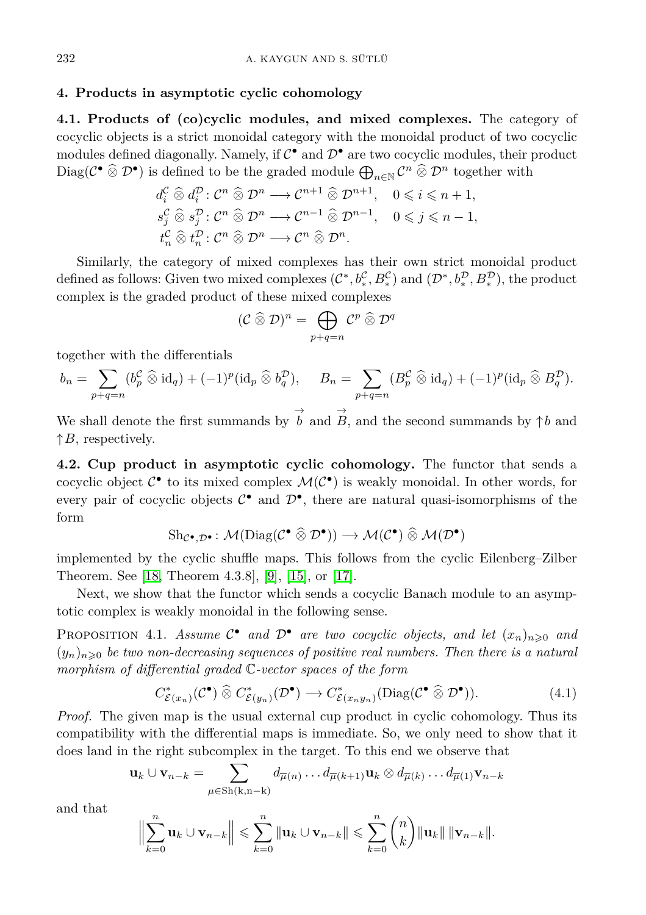#### <span id="page-11-0"></span>**4. Products in asymptotic cyclic cohomology**

**4.1. Products of (co)cyclic modules, and mixed complexes.** The category of cocyclic objects is a strict monoidal category with the monoidal product of two cocyclic modules defined diagonally. Namely, if  $C^{\bullet}$  and  $D^{\bullet}$  are two cocyclic modules, their product Diag( $C^{\bullet}$   $\widehat{\otimes}$   $\mathcal{D}^{\bullet}$ ) is defined to be the graded module  $\bigoplus_{n\in\mathbb{N}} C^n$   $\widehat{\otimes}$   $\mathcal{D}^n$  together with

$$
d_i^{\mathcal{C}} \widehat{\otimes} d_i^{\mathcal{D}} : \mathcal{C}^n \widehat{\otimes} \mathcal{D}^n \longrightarrow \mathcal{C}^{n+1} \widehat{\otimes} \mathcal{D}^{n+1}, \quad 0 \leq i \leq n+1,
$$
  
\n
$$
s_j^{\mathcal{C}} \widehat{\otimes} s_j^{\mathcal{D}} : \mathcal{C}^n \widehat{\otimes} \mathcal{D}^n \longrightarrow \mathcal{C}^{n-1} \widehat{\otimes} \mathcal{D}^{n-1}, \quad 0 \leq j \leq n-1,
$$
  
\n
$$
t_n^{\mathcal{C}} \widehat{\otimes} t_n^{\mathcal{D}} : \mathcal{C}^n \widehat{\otimes} \mathcal{D}^n \longrightarrow \mathcal{C}^n \widehat{\otimes} \mathcal{D}^n.
$$

Similarly, the category of mixed complexes has their own strict monoidal product defined as follows: Given two mixed complexes  $(C^*, b_*^C, B_*^C)$  and  $(D^*, b_*^D, B_*^D)$ , the product complex is the graded product of these mixed complexes

$$
(\mathcal{C}\mathbin{\widehat{\otimes}} \mathcal{D})^n=\bigoplus_{p+q=n}\mathcal{C}^p\mathbin{\widehat{\otimes}} \mathcal{D}^q
$$

together with the differentials

$$
b_n = \sum_{p+q=n} (b_p^{\mathcal{C}} \widehat{\otimes} \mathrm{id}_q) + (-1)^p (\mathrm{id}_p \widehat{\otimes} b_q^{\mathcal{D}}), \quad B_n = \sum_{p+q=n} (B_p^{\mathcal{C}} \widehat{\otimes} \mathrm{id}_q) + (-1)^p (\mathrm{id}_p \widehat{\otimes} B_q^{\mathcal{D}}).
$$

We shall denote the first summands by  $\overrightarrow{b}$  and  $\overrightarrow{B}$ , and the second summands by  $\uparrow b$  and  $\uparrow$ *B*, respectively.

**4.2. Cup product in asymptotic cyclic cohomology.** The functor that sends a cocyclic object  $C^{\bullet}$  to its mixed complex  $\mathcal{M}(C^{\bullet})$  is weakly monoidal. In other words, for every pair of cocyclic objects  $\mathcal{C}^{\bullet}$  and  $\mathcal{D}^{\bullet}$ , there are natural quasi-isomorphisms of the form

$$
\mathrm{Sh}_{\mathcal{C}^\bullet,\mathcal{D}^\bullet}\colon \mathcal{M}(\mathrm{Diag}(\mathcal{C}^\bullet\mathbin{\widehat{\otimes}}\mathcal{D}^\bullet))\to \mathcal{M}(\mathcal{C}^\bullet)\mathbin{\widehat{\otimes}}\mathcal{M}(\mathcal{D}^\bullet)
$$

implemented by the cyclic shuffle maps. This follows from the cyclic Eilenberg–Zilber Theorem. See [\[18,](#page-23-3) Theorem 4.3.8], [\[9\]](#page-22-10), [\[15\]](#page-22-11), or [\[17\]](#page-23-6).

Next, we show that the functor which sends a cocyclic Banach module to an asymptotic complex is weakly monoidal in the following sense.

<span id="page-11-1"></span>PROPOSITION 4.1. *Assume*  $C^{\bullet}$  *and*  $D^{\bullet}$  *are two cocyclic objects, and let*  $(x_n)_{n\geqslant0}$  *and*  $(y_n)_{n\geqslant 0}$  be two non-decreasing sequences of positive real numbers. Then there is a natural *morphism of differential graded* C*-vector spaces of the form*

$$
C_{\mathcal{E}(x_n)}^*(\mathcal{C}^\bullet) \widehat{\otimes} C_{\mathcal{E}(y_n)}^*(\mathcal{D}^\bullet) \longrightarrow C_{\mathcal{E}(x_n y_n)}^*(\text{Diag}(\mathcal{C}^\bullet \widehat{\otimes} \mathcal{D}^\bullet)).\tag{4.1}
$$

*Proof.* The given map is the usual external cup product in cyclic cohomology. Thus its compatibility with the differential maps is immediate. So, we only need to show that it does land in the right subcomplex in the target. To this end we observe that

$$
\mathbf{u}_k \cup \mathbf{v}_{n-k} = \sum_{\mu \in Sh(k,n-k)} d_{\overline{\mu}(n)} \dots d_{\overline{\mu}(k+1)} \mathbf{u}_k \otimes d_{\overline{\mu}(k)} \dots d_{\overline{\mu}(1)} \mathbf{v}_{n-k}
$$

and that

$$
\Big\|\sum_{k=0}^n \mathbf{u}_k \cup \mathbf{v}_{n-k}\Big\| \leqslant \sum_{k=0}^n \|\mathbf{u}_k \cup \mathbf{v}_{n-k}\| \leqslant \sum_{k=0}^n {n \choose k} \|\mathbf{u}_k\| \|\mathbf{v}_{n-k}\|.
$$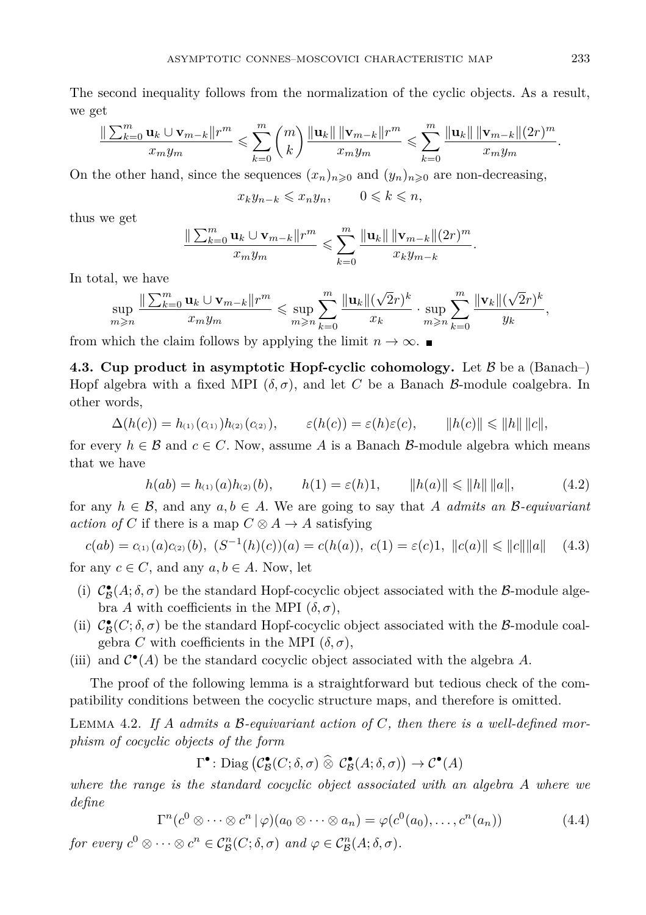The second inequality follows from the normalization of the cyclic objects. As a result, we get

$$
\frac{\|\sum_{k=0}^m \mathbf{u}_k \cup \mathbf{v}_{m-k}\| r^m}{x_m y_m} \leqslant \sum_{k=0}^m {m \choose k} \frac{\|\mathbf{u}_k\| \|\mathbf{v}_{m-k}\| r^m}{x_m y_m} \leqslant \sum_{k=0}^m \frac{\|\mathbf{u}_k\| \|\mathbf{v}_{m-k}\| (2r)^m}{x_m y_m}.
$$

On the other hand, since the sequences  $(x_n)_{n\geqslant0}$  and  $(y_n)_{n\geqslant0}$  are non-decreasing,

$$
x_k y_{n-k} \leqslant x_n y_n, \qquad 0 \leqslant k \leqslant n,
$$

thus we get

$$
\frac{\|\sum_{k=0}^m \mathbf{u}_k \cup \mathbf{v}_{m-k}\|r^m}{x_m y_m} \leqslant \sum_{k=0}^m \frac{\|\mathbf{u}_k\| \|\mathbf{v}_{m-k}\|(2r)^m}{x_k y_{m-k}}.
$$

In total, we have

$$
\sup_{m\geqslant n}\frac{\|\sum_{k=0}^m\mathbf{u}_k\cup\mathbf{v}_{m-k}\|r^m}{x_my_m}\leqslant \sup_{m\geqslant n}\sum_{k=0}^m\frac{\|\mathbf{u}_k\|(\sqrt{2}r)^k}{x_k}\cdot \sup_{m\geqslant n}\sum_{k=0}^m\frac{\|\mathbf{v}_k\|(\sqrt{2}r)^k}{y_k},
$$

from which the claim follows by applying the limit  $n \to \infty$ .

**4.3. Cup product in asymptotic Hopf-cyclic cohomology.** Let  $\beta$  be a (Banach–) Hopf algebra with a fixed MPI  $(\delta, \sigma)$ , and let *C* be a Banach *B*-module coalgebra. In other words,

$$
\Delta(h(c)) = h_{(1)}(c_{(1)})h_{(2)}(c_{(2)}), \qquad \varepsilon(h(c)) = \varepsilon(h)\varepsilon(c), \qquad \|h(c)\| \leq \|h\| \|c\|,
$$

for every  $h \in \mathcal{B}$  and  $c \in C$ . Now, assume A is a Banach  $\mathcal{B}$ -module algebra which means that we have

$$
h(ab) = h_{(1)}(a)h_{(2)}(b), \qquad h(1) = \varepsilon(h)1, \qquad \|h(a)\| \le \|h\| \|a\|,
$$
 (4.2)

for any  $h \in \mathcal{B}$ , and any  $a, b \in A$ . We are going to say that A *admits an* B-equivariant *action of C* if there is a map  $C \otimes A \rightarrow A$  satisfying

$$
c(ab) = c_{(1)}(a)c_{(2)}(b), (S^{-1}(h)(c))(a) = c(h(a)), c(1) = \varepsilon(c)1, ||c(a)|| \le ||c|| ||a|| \quad (4.3)
$$
  
for any  $c \in C$ , and any  $a, b \in A$ . Now, let

- (i)  $\mathcal{C}_{\mathcal{B}}^{\bullet}(A;\delta,\sigma)$  be the standard Hopf-cocyclic object associated with the  $\mathcal{B}$ -module algebra *A* with coefficients in the MPI (*δ, σ*),
- (ii)  $C^{\bullet}_{\mathcal{B}}(C; \delta, \sigma)$  be the standard Hopf-cocyclic object associated with the  $\mathcal{B}$ -module coalgebra *C* with coefficients in the MPI  $(\delta, \sigma)$ ,
- (iii) and  $C^{\bullet}(A)$  be the standard cocyclic object associated with the algebra A.

The proof of the following lemma is a straightforward but tedious check of the compatibility conditions between the cocyclic structure maps, and therefore is omitted.

<span id="page-12-0"></span>Lemma 4.2. *If A admits a* B*-equivariant action of C, then there is a well-defined morphism of cocyclic objects of the form*

 $\Gamma^{\bullet} \colon \text{Diag} \left( \mathcal{C}_{\mathcal{B}}^{\bullet}(C; \delta, \sigma) \widehat{\otimes} \mathcal{C}_{\mathcal{B}}^{\bullet}(A; \delta, \sigma) \right) \to \mathcal{C}^{\bullet}(A)$ 

*where the range is the standard cocyclic object associated with an algebra A where we define*

$$
\Gamma^n(c^0 \otimes \cdots \otimes c^n \mid \varphi)(a_0 \otimes \cdots \otimes a_n) = \varphi(c^0(a_0), \ldots, c^n(a_n))
$$
\n(4.4)

*for every*  $c^0 \otimes \cdots \otimes c^n \in C^n_{\mathcal{B}}(C; \delta, \sigma)$  and  $\varphi \in C^n_{\mathcal{B}}(A; \delta, \sigma)$ .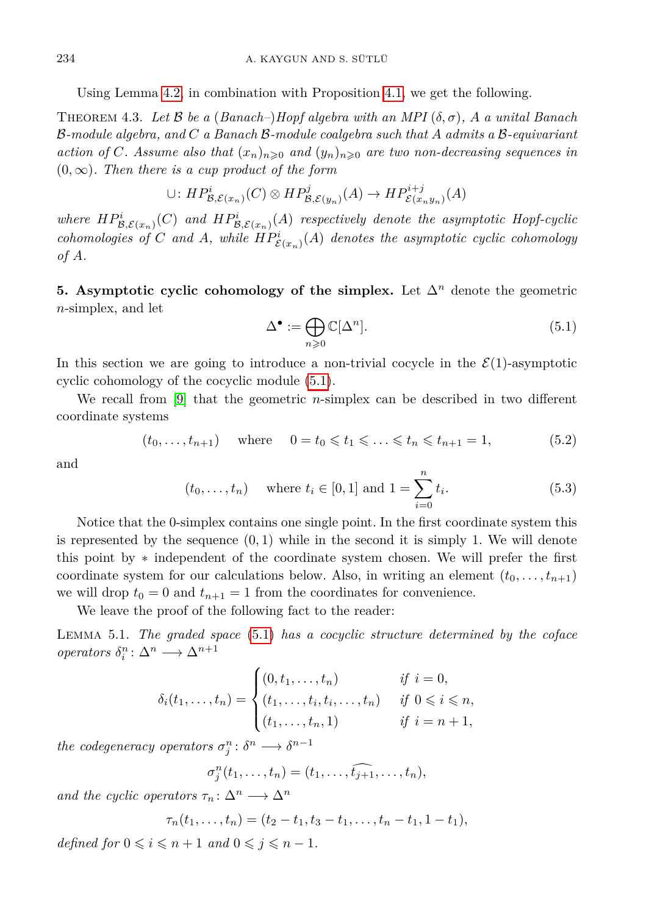Using Lemma [4.2,](#page-12-0) in combination with Proposition [4.1,](#page-11-1) we get the following.

THEOREM 4.3. Let  $\beta$  be a (Banach–)Hopf algebra with an MPI  $(\delta, \sigma)$ , A a unital Banach B*-module algebra, and C a Banach* B*-module coalgebra such that A admits a* B*-equivariant action of C. Assume also that*  $(x_n)_{n\geq 0}$  *and*  $(y_n)_{n\geq 0}$  *are two non-decreasing sequences in*  $(0, \infty)$ *. Then there is a cup product of the form* 

$$
\cup: HP^i_{\mathcal{B},\mathcal{E}(x_n)}(C)\otimes HP^j_{\mathcal{B},\mathcal{E}(y_n)}(A)\to HP^{i+j}_{\mathcal{E}(x_ny_n)}(A)
$$

*where*  $HP^i_{\mathcal{B},\mathcal{E}(x_n)}(C)$  and  $HP^i_{\mathcal{B},\mathcal{E}(x_n)}(A)$  respectively denote the asymptotic Hopf-cyclic *cohomologies of C* and *A*, while  $HP^i_{\mathcal{E}(x_n)}(A)$  denotes the asymptotic cyclic cohomology *of A.*

<span id="page-13-0"></span>**5. Asymptotic cyclic cohomology of the simplex.** Let ∆*<sup>n</sup>* denote the geometric *n*-simplex, and let

<span id="page-13-1"></span>
$$
\Delta^{\bullet} := \bigoplus_{n \geq 0} \mathbb{C}[\Delta^n]. \tag{5.1}
$$

In this section we are going to introduce a non-trivial cocycle in the  $\mathcal{E}(1)$ -asymptotic cyclic cohomology of the cocyclic module [\(5.1\)](#page-13-1).

We recall from [\[9\]](#page-22-10) that the geometric *n*-simplex can be described in two different coordinate systems

$$
(t_0, ..., t_{n+1})
$$
 where  $0 = t_0 \le t_1 \le ... \le t_n \le t_{n+1} = 1,$  (5.2)

and

$$
(t_0, ..., t_n)
$$
 where  $t_i \in [0, 1]$  and  $1 = \sum_{i=0}^{n} t_i$ . (5.3)

Notice that the 0-simplex contains one single point. In the first coordinate system this is represented by the sequence  $(0, 1)$  while in the second it is simply 1. We will denote this point by ∗ independent of the coordinate system chosen. We will prefer the first coordinate system for our calculations below. Also, in writing an element  $(t_0, \ldots, t_{n+1})$ we will drop  $t_0 = 0$  and  $t_{n+1} = 1$  from the coordinates for convenience.

We leave the proof of the following fact to the reader:

Lemma 5.1. *The graded space* [\(5.1\)](#page-13-1) *has a cocyclic structure determined by the coface operators*  $\delta_i^n : \Delta^n \longrightarrow \Delta^{n+1}$ 

$$
\delta_i(t_1, ..., t_n) = \begin{cases}\n(0, t_1, ..., t_n) & \text{if } i = 0, \\
(t_1, ..., t_i, t_i, ..., t_n) & \text{if } 0 \leq i \leq n, \\
(t_1, ..., t_n, 1) & \text{if } i = n + 1,\n\end{cases}
$$

*the codegeneracy operators*  $\sigma_j^n: \delta^n \longrightarrow \delta^{n-1}$ 

$$
\sigma_j^n(t_1,\ldots,t_n)=(t_1,\ldots,\widehat{t_{j+1}},\ldots,t_n),
$$

*and the cyclic operators*  $\tau_n: \Delta^n \longrightarrow \Delta^n$ 

$$
\tau_n(t_1,\ldots,t_n)=(t_2-t_1,t_3-t_1,\ldots,t_n-t_1,1-t_1),
$$

*defined for*  $0 \leq i \leq n+1$  *and*  $0 \leq j \leq n-1$ *.*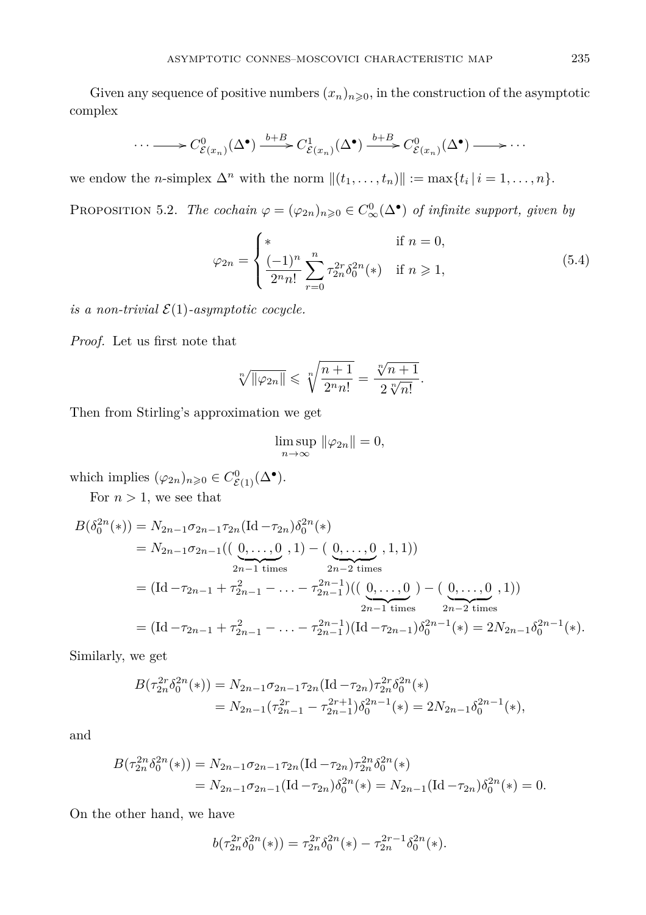Given any sequence of positive numbers  $(x_n)_{n\geqslant0}$ , in the construction of the asymptotic complex

$$
\cdots \longrightarrow C^0_{\mathcal{E}(x_n)}(\Delta^{\bullet}) \xrightarrow{b+B} C^1_{\mathcal{E}(x_n)}(\Delta^{\bullet}) \xrightarrow{b+B} C^0_{\mathcal{E}(x_n)}(\Delta^{\bullet}) \longrightarrow \cdots
$$

<span id="page-14-0"></span>we endow the *n*-simplex  $\Delta^n$  with the norm  $||(t_1, \ldots, t_n)|| := \max\{t_i | i = 1, \ldots, n\}.$ 

PROPOSITION 5.2. *The cochain*  $\varphi = (\varphi_{2n})_{n \geqslant 0} \in C^0_{\infty}(\Delta^{\bullet})$  *of infinite support, given by* 

<span id="page-14-1"></span>
$$
\varphi_{2n} = \begin{cases}\n* & \text{if } n = 0, \\
\frac{(-1)^n}{2^n n!} \sum_{r=0}^n \tau_{2n}^{2r} \delta_0^{2n}(*) & \text{if } n \ge 1,\n\end{cases}
$$
\n(5.4)

*is a non-trivial*  $\mathcal{E}(1)$ *-asymptotic cocycle.* 

*Proof.* Let us first note that

$$
\sqrt[n]{\|\varphi_{2n}\|} \leqslant \sqrt[n]{\frac{n+1}{2^n n!}} = \frac{\sqrt[n]{n+1}}{2 \sqrt[n]{n!}}.
$$

Then from Stirling's approximation we get

$$
\limsup_{n \to \infty} \|\varphi_{2n}\| = 0,
$$

which implies  $(\varphi_{2n})_{n\geqslant 0} \in C^0_{\mathcal{E}(1)}(\Delta^{\bullet}).$ 

For  $n > 1$ , we see that

$$
B(\delta_0^{2n}(*) ) = N_{2n-1}\sigma_{2n-1}\tau_{2n}(\text{Id}-\tau_{2n})\delta_0^{2n}(*)
$$
  
=  $N_{2n-1}\sigma_{2n-1}((\underbrace{0,\ldots,0}_{2n-1 \text{ times}},1)-(\underbrace{0,\ldots,0}_{2n-2 \text{ times}},1,1))$   
=  $(\text{Id}-\tau_{2n-1}+\tau_{2n-1}^2-\ldots-\tau_{2n-1}^{2n-1})((\underbrace{0,\ldots,0}_{2n-1 \text{ times}})-(\underbrace{0,\ldots,0}_{2n-2 \text{ times}},1))$   
=  $(\text{Id}-\tau_{2n-1}+\tau_{2n-1}^2-\ldots-\tau_{2n-1}^{2n-1})(\text{Id}-\tau_{2n-1})\delta_0^{2n-1}(*) = 2N_{2n-1}\delta_0^{2n-1}(*).$ 

Similarly, we get

$$
B(\tau_{2n}^{2r} \delta_0^{2n}(*)) = N_{2n-1} \sigma_{2n-1} \tau_{2n} (\text{Id} - \tau_{2n}) \tau_{2n}^{2r} \delta_0^{2n}(*)
$$
  
=  $N_{2n-1} (\tau_{2n-1}^{2r} - \tau_{2n-1}^{2r+1}) \delta_0^{2n-1}(*) = 2N_{2n-1} \delta_0^{2n-1}(*),$ 

and

$$
B(\tau_{2n}^{2n} \delta_0^{2n}(*)) = N_{2n-1} \sigma_{2n-1} \tau_{2n} (\text{Id} - \tau_{2n}) \tau_{2n}^{2n} \delta_0^{2n}(*)
$$
  
=  $N_{2n-1} \sigma_{2n-1} (\text{Id} - \tau_{2n}) \delta_0^{2n}(*) = N_{2n-1} (\text{Id} - \tau_{2n}) \delta_0^{2n}(*) = 0.$ 

On the other hand, we have

$$
b(\tau_{2n}^{2r} \delta_0^{2n}(*)) = \tau_{2n}^{2r} \delta_0^{2n}(*) - \tau_{2n}^{2r-1} \delta_0^{2n}(*).
$$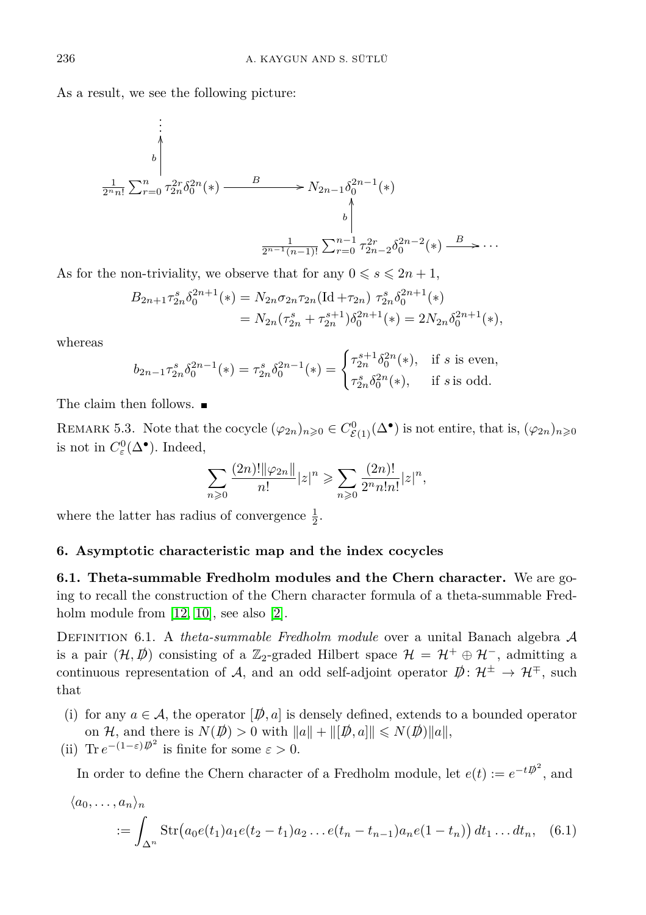As a result, we see the following picture:

$$
\begin{array}{c}\n\vdots \\
\downarrow \\
\downarrow \\
\frac{1}{2^{n}n!} \sum_{r=0}^{n} \tau_{2n}^{2r} \delta_0^{2n} (*) \xrightarrow{B} N_{2n-1} \delta_0^{2n-1} (*) \\
\downarrow \\
\downarrow \\
\frac{1}{2^{n-1}(n-1)!} \sum_{r=0}^{n-1} \tau_{2n-2}^{2r} \delta_0^{2n-2} (*) \xrightarrow{B} \cdots\n\end{array}
$$

As for the non-triviality, we observe that for any  $0 \le s \le 2n + 1$ ,

$$
B_{2n+1}\tau_{2n}^s \delta_0^{2n+1}(*) = N_{2n}\sigma_{2n}\tau_{2n} (\text{Id} + \tau_{2n}) \tau_{2n}^s \delta_0^{2n+1}(*)
$$
  
= 
$$
N_{2n}(\tau_{2n}^s + \tau_{2n}^{s+1}) \delta_0^{2n+1}(*) = 2N_{2n}\delta_0^{2n+1}(*),
$$

whereas

$$
b_{2n-1}\tau_{2n}^s\delta_0^{2n-1}(*) = \tau_{2n}^s\delta_0^{2n-1}(*) = \begin{cases} \tau_{2n}^{s+1}\delta_0^{2n}(*) , & \text{if } s \text{ is even,} \\ \tau_{2n}^s\delta_0^{2n}(*) , & \text{if } s \text{ is odd.} \end{cases}
$$

The claim then follows. ■

REMARK 5.3. Note that the cocycle  $(\varphi_{2n})_{n\geqslant 0} \in C^0_{\mathcal{E}(1)}(\Delta^{\bullet})$  is not entire, that is,  $(\varphi_{2n})_{n\geqslant 0}$ is not in  $C^0_{\varepsilon}(\Delta^{\bullet})$ . Indeed,

$$
\sum_{n\geqslant 0} \frac{(2n)! \|\varphi_{2n}\|}{n!} |z|^n \geqslant \sum_{n\geqslant 0} \frac{(2n)!}{2^n n! n!} |z|^n,
$$

where the latter has radius of convergence  $\frac{1}{2}$ .

#### <span id="page-15-0"></span>**6. Asymptotic characteristic map and the index cocycles**

**6.1. Theta-summable Fredholm modules and the Chern character.** We are going to recall the construction of the Chern character formula of a theta-summable Fred-holm module from [\[12,](#page-22-5) [10\]](#page-22-6), see also [\[2\]](#page-22-2).

Definition 6.1. A *theta-summable Fredholm module* over a unital Banach algebra A is a pair  $(\mathcal{H}, \vec{p})$  consisting of a Z<sub>2</sub>-graded Hilbert space  $\mathcal{H} = \mathcal{H}^+ \oplus \mathcal{H}^-$ , admitting a continuous representation of A, and an odd self-adjoint operator  $\psi: \mathcal{H}^{\pm} \to \mathcal{H}^{\mp}$ , such that

- (i) for any  $a \in \mathcal{A}$ , the operator  $[\phi, a]$  is densely defined, extends to a bounded operator on H, and there is  $N(\vec{p}) > 0$  with  $||a|| + ||[\vec{p}, a]|| \le N(\vec{p})||a||$ ,
- (ii) Tr  $e^{-(1-\varepsilon)\vec{p}^2}$  is finite for some  $\varepsilon > 0$ .

In order to define the Chern character of a Fredholm module, let  $e(t) := e^{-t\vec{\psi}^2}$ , and

$$
\langle a_0, \dots, a_n \rangle_n
$$
  
 :=  $\int_{\Delta^n} Str(a_0e(t_1)a_1e(t_2 - t_1)a_2 \dots e(t_n - t_{n-1})a_n e(1 - t_n)) dt_1 \dots dt_n$ , (6.1)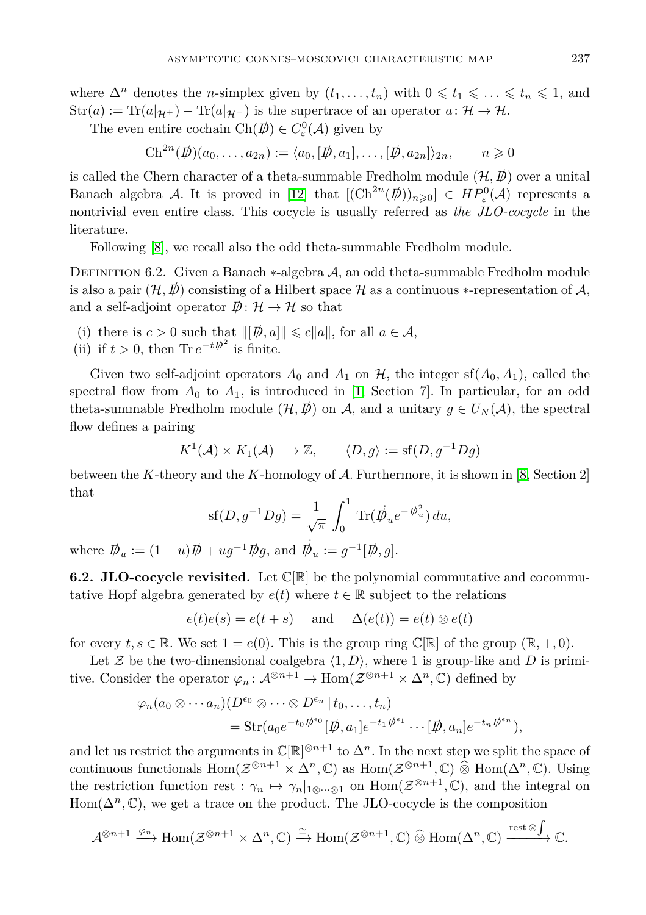where  $\Delta^n$  denotes the *n*-simplex given by  $(t_1, \ldots, t_n)$  with  $0 \leq t_1 \leq \ldots \leq t_n \leq 1$ , and  $Str(a) := Tr(a|_{\mathcal{H}^+}) - Tr(a|_{\mathcal{H}^-})$  is the supertrace of an operator  $a: \mathcal{H} \to \mathcal{H}$ .

The even entire cochain  $\text{Ch}(\mathcal{D}) \in C^0_{\varepsilon}(\mathcal{A})$  given by

 $\text{Ch}^{2n}(\emptyset)(a_0,\ldots,a_{2n}) := \langle a_0, [\emptyset,a_1],\ldots, [\emptyset,a_{2n}]\rangle_{2n}, \qquad n \geqslant 0$ 

is called the Chern character of a theta-summable Fredholm module  $(\mathcal{H}, \mathcal{D})$  over a unital Banach algebra A. It is proved in [\[12\]](#page-22-5) that  $[(Ch^{2n}(\phi))_{n\geqslant0}]\in HP_{\varepsilon}^{0}(\mathcal{A})$  represents a nontrivial even entire class. This cocycle is usually referred as *the JLO-cocycle* in the literature.

Following [\[8\]](#page-22-12), we recall also the odd theta-summable Fredholm module.

DEFINITION 6.2. Given a Banach ∗-algebra A, an odd theta-summable Fredholm module is also a pair  $(\mathcal{H}, \mathcal{D})$  consisting of a Hilbert space  $\mathcal H$  as a continuous  $*$ -representation of  $\mathcal A$ , and a self-adjoint operator  $\mathcal{D}: \mathcal{H} \to \mathcal{H}$  so that

- (i) there is  $c > 0$  such that  $\|[\not{D}, a]\| \leq c \|a\|$ , for all  $a \in \mathcal{A}$ ,
- (ii) if  $t > 0$ , then Tr  $e^{-t\vec{\psi}^2}$  is finite.

Given two self-adjoint operators  $A_0$  and  $A_1$  on  $H$ , the integer sf $(A_0, A_1)$ , called the spectral flow from  $A_0$  to  $A_1$ , is introduced in [\[1,](#page-22-13) Section 7]. In particular, for an odd theta-summable Fredholm module  $(\mathcal{H}, \mathcal{D})$  on A, and a unitary  $g \in U_N(\mathcal{A})$ , the spectral flow defines a pairing

$$
K^1(\mathcal{A}) \times K_1(\mathcal{A}) \longrightarrow \mathbb{Z}, \qquad \langle D, g \rangle := \text{sf}(D, g^{-1}Dg)
$$

between the *K*-theory and the *K*-homology of A. Furthermore, it is shown in [\[8,](#page-22-12) Section 2] that

$$
sf(D,g^{-1}Dg) = \frac{1}{\sqrt{\pi}} \int_0^1 Tr(\dot{\psi}_u e^{-\dot{\psi}_u^2}) du,
$$

where  $\mathcal{D}_u := (1 - u)\mathcal{D} + ug^{-1} \mathcal{D}g$ , and  $\mathcal{D}_u := g^{-1}[\mathcal{D}, g]$ .

**6.2. JLO-cocycle revisited.** Let  $\mathbb{C}[\mathbb{R}]$  be the polynomial commutative and cocommutative Hopf algebra generated by  $e(t)$  where  $t \in \mathbb{R}$  subject to the relations

$$
e(t)e(s) = e(t+s)
$$
 and  $\Delta(e(t)) = e(t) \otimes e(t)$ 

for every  $t, s \in \mathbb{R}$ . We set  $1 = e(0)$ . This is the group ring  $\mathbb{C}[\mathbb{R}]$  of the group  $(\mathbb{R}, +, 0)$ .

Let Z be the two-dimensional coalgebra  $\langle 1, D \rangle$ , where 1 is group-like and D is primitive. Consider the operator  $\varphi_n: \mathcal{A}^{\otimes n+1} \to \text{Hom}(\mathcal{Z}^{\otimes n+1} \times \Delta^n, \mathbb{C})$  defined by

$$
\varphi_n(a_0 \otimes \cdots a_n)(D^{\epsilon_0} \otimes \cdots \otimes D^{\epsilon_n} | t_0, \ldots, t_n)
$$
  
= Str( $a_0e^{-t_0\mathcal{D}^{\epsilon_0}}[\mathcal{D}, a_1]e^{-t_1\mathcal{D}^{\epsilon_1}} \cdots [\mathcal{D}, a_n]e^{-t_n\mathcal{D}^{\epsilon_n}}),$ 

and let us restrict the arguments in  $\mathbb{C}[\mathbb{R}]^{\otimes n+1}$  to  $\Delta^n$ . In the next step we split the space of continuous functionals  $\text{Hom}(\mathcal{Z}^{\otimes n+1} \times \Delta^n, \mathbb{C})$  as  $\text{Hom}(\mathcal{Z}^{\otimes n+1}, \mathbb{C}) \widehat{\otimes} \text{Hom}(\Delta^n, \mathbb{C})$ . Using the restriction function rest :  $\gamma_n \mapsto \gamma_n|_{1\otimes \cdots \otimes 1}$  on  $\text{Hom}(\mathcal{Z}^{\otimes n+1}, \mathbb{C})$ , and the integral on  $Hom(\Delta^n, \mathbb{C})$ , we get a trace on the product. The JLO-cocycle is the composition

$$
\mathcal{A}^{\otimes n+1} \xrightarrow{\varphi_n} \text{Hom}(\mathcal{Z}^{\otimes n+1} \times \Delta^n, \mathbb{C}) \xrightarrow{\cong} \text{Hom}(\mathcal{Z}^{\otimes n+1}, \mathbb{C}) \widehat{\otimes} \text{Hom}(\Delta^n, \mathbb{C}) \xrightarrow{\text{rest } \otimes \int} \mathbb{C}.
$$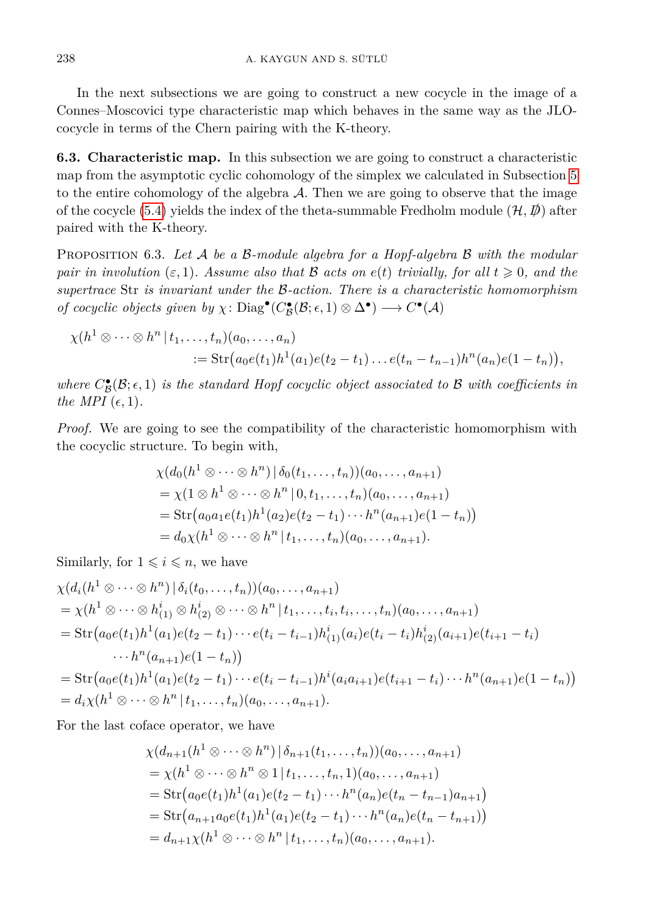In the next subsections we are going to construct a new cocycle in the image of a Connes–Moscovici type characteristic map which behaves in the same way as the JLOcocycle in terms of the Chern pairing with the K-theory.

**6.3. Characteristic map.** In this subsection we are going to construct a characteristic map from the asymptotic cyclic cohomology of the simplex we calculated in Subsection [5](#page-13-0) to the entire cohomology of the algebra  $A$ . Then we are going to observe that the image of the cocycle [\(5.4\)](#page-14-1) yields the index of the theta-summable Fredholm module  $(\mathcal{H}, \mathcal{D})$  after paired with the K-theory.

<span id="page-17-0"></span>Proposition 6.3. *Let* A *be a* B*-module algebra for a Hopf-algebra* B *with the modular pair in involution* ( $\varepsilon$ , 1)*.* Assume also that B acts on  $e(t)$  trivially, for all  $t \geq 0$ *, and the supertrace* Str *is invariant under the* B*-action. There is a characteristic homomorphism of cocyclic objects given by*  $\chi$ :  $Diag^{\bullet}(C^{\bullet}_{\mathcal{B}}(\mathcal{B}; \epsilon, 1) \otimes \Delta^{\bullet}) \longrightarrow C^{\bullet}(\mathcal{A})$ 

$$
\chi(h^{1} \otimes \cdots \otimes h^{n} | t_{1},..., t_{n}) (a_{0},..., a_{n})
$$
  
 := Str $(a_{0}e(t_{1})h^{1}(a_{1})e(t_{2}-t_{1})...e(t_{n}-t_{n-1})h^{n}(a_{n})e(1-t_{n})),$ 

*where*  $C^{\bullet}_{\mathcal{B}}(\mathcal{B}; \epsilon, 1)$  *is the standard Hopf cocyclic object associated to*  $\mathcal{B}$  *with coefficients in the MPI*  $(\epsilon, 1)$ *.* 

*Proof.* We are going to see the compatibility of the characteristic homomorphism with the cocyclic structure. To begin with,

$$
\chi(d_0(h^1 \otimes \cdots \otimes h^n) | \delta_0(t_1, \ldots, t_n)) (a_0, \ldots, a_{n+1})
$$
  
=  $\chi(1 \otimes h^1 \otimes \cdots \otimes h^n | 0, t_1, \ldots, t_n) (a_0, \ldots, a_{n+1})$   
=  $\text{Str}(a_0a_1e(t_1)h^1(a_2)e(t_2 - t_1) \cdots h^n(a_{n+1})e(1 - t_n))$   
=  $d_0\chi(h^1 \otimes \cdots \otimes h^n | t_1, \ldots, t_n) (a_0, \ldots, a_{n+1}).$ 

Similarly, for  $1 \leq i \leq n$ , we have

$$
\chi(d_i(h^1 \otimes \cdots \otimes h^n) | \delta_i(t_0, \ldots, t_n))(a_0, \ldots, a_{n+1})
$$
  
=  $\chi(h^1 \otimes \cdots \otimes h_{(1)}^i \otimes h_{(2)}^i \otimes \cdots \otimes h^n | t_1, \ldots, t_i, t_i, \ldots, t_n)(a_0, \ldots, a_{n+1})$   
=  $\text{Str}(a_0e(t_1)h^1(a_1)e(t_2 - t_1) \cdots e(t_i - t_{i-1})h_{(1)}^i(a_i)e(t_i - t_i)h_{(2)}^i(a_{i+1})e(t_{i+1} - t_i)$   
 $\cdots h^n(a_{n+1})e(1 - t_n))$   
=  $\text{Str}(a_0e(t_1)h^1(a_1)e(t_2 - t_1) \cdots e(t_i - t_{i-1})h^i(a_i a_{i+1})e(t_{i+1} - t_i) \cdots h^n(a_{n+1})e(1 - t_n))$   
=  $d_i\chi(h^1 \otimes \cdots \otimes h^n | t_1, \ldots, t_n)(a_0, \ldots, a_{n+1}).$ 

For the last coface operator, we have

$$
\chi(d_{n+1}(h^1 \otimes \cdots \otimes h^n) | \delta_{n+1}(t_1, \ldots, t_n)) (a_0, \ldots, a_{n+1})
$$
  
=  $\chi(h^1 \otimes \cdots \otimes h^n \otimes 1 | t_1, \ldots, t_n, 1) (a_0, \ldots, a_{n+1})$   
=  $\text{Str}(a_0 e(t_1) h^1(a_1) e(t_2 - t_1) \cdots h^n(a_n) e(t_n - t_{n-1}) a_{n+1})$   
=  $\text{Str}(a_{n+1} a_0 e(t_1) h^1(a_1) e(t_2 - t_1) \cdots h^n(a_n) e(t_n - t_{n+1}))$   
=  $d_{n+1} \chi(h^1 \otimes \cdots \otimes h^n | t_1, \ldots, t_n) (a_0, \ldots, a_{n+1}).$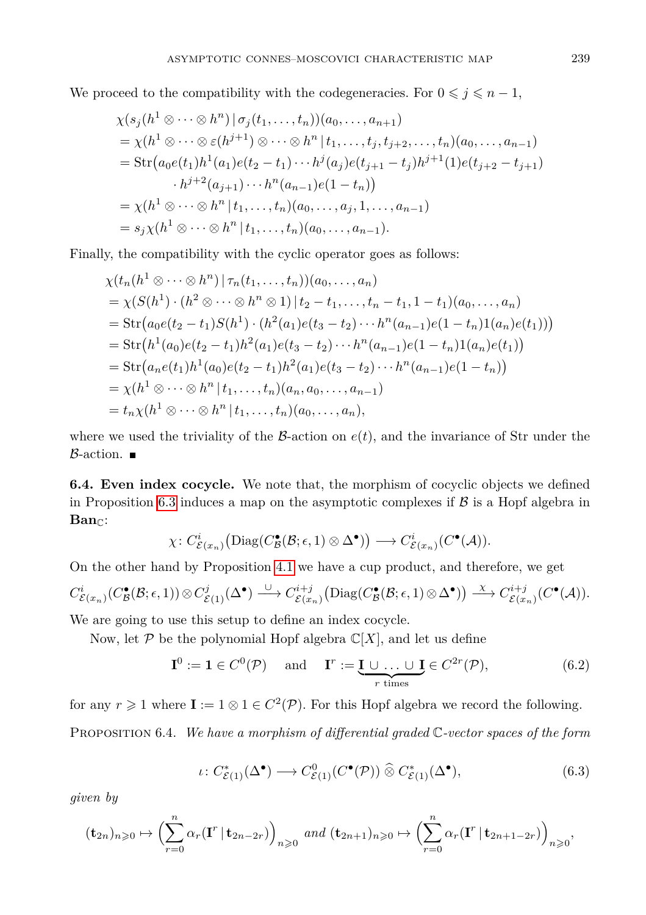We proceed to the compatibility with the codegeneracies. For  $0 \leq j \leq n-1$ ,

$$
\chi(s_j(h^1 \otimes \cdots \otimes h^n) | \sigma_j(t_1, \ldots, t_n)) (a_0, \ldots, a_{n+1})
$$
  
=  $\chi(h^1 \otimes \cdots \otimes \varepsilon(h^{j+1}) \otimes \cdots \otimes h^n | t_1, \ldots, t_j, t_{j+2}, \ldots, t_n) (a_0, \ldots, a_{n-1})$   
=  $\text{Str}\big(a_0e(t_1)h^1(a_1)e(t_2 - t_1)\cdots h^j(a_j)e(t_{j+1} - t_j)h^{j+1}(1)e(t_{j+2} - t_{j+1})$   
 $\cdot h^{j+2}(a_{j+1})\cdots h^n(a_{n-1})e(1 - t_n)\big)$   
=  $\chi(h^1 \otimes \cdots \otimes h^n | t_1, \ldots, t_n) (a_0, \ldots, a_j, 1, \ldots, a_{n-1})$   
=  $s_j \chi(h^1 \otimes \cdots \otimes h^n | t_1, \ldots, t_n) (a_0, \ldots, a_{n-1}).$ 

Finally, the compatibility with the cyclic operator goes as follows:

$$
\chi(t_n(h^1 \otimes \cdots \otimes h^n) | \tau_n(t_1, \ldots, t_n)) (a_0, \ldots, a_n)
$$
  
=  $\chi(S(h^1) \cdot (h^2 \otimes \cdots \otimes h^n \otimes 1) | t_2 - t_1, \ldots, t_n - t_1, 1 - t_1) (a_0, \ldots, a_n)$   
=  $\text{Str}(a_0 e(t_2 - t_1) S(h^1) \cdot (h^2(a_1) e(t_3 - t_2) \cdots h^n(a_{n-1}) e(1 - t_n) 1(a_n) e(t_1)))$   
=  $\text{Str}(h^1(a_0) e(t_2 - t_1) h^2(a_1) e(t_3 - t_2) \cdots h^n(a_{n-1}) e(1 - t_n) 1(a_n) e(t_1))$   
=  $\text{Str}(a_n e(t_1) h^1(a_0) e(t_2 - t_1) h^2(a_1) e(t_3 - t_2) \cdots h^n(a_{n-1}) e(1 - t_n))$   
=  $\chi(h^1 \otimes \cdots \otimes h^n | t_1, \ldots, t_n) (a_0, \ldots, a_{n-1})$   
=  $t_n \chi(h^1 \otimes \cdots \otimes h^n | t_1, \ldots, t_n) (a_0, \ldots, a_n),$ 

where we used the triviality of the  $\beta$ -action on  $e(t)$ , and the invariance of Str under the  $\beta$ -action.

**6.4. Even index cocycle.** We note that, the morphism of cocyclic objects we defined in Proposition [6.3](#page-17-0) induces a map on the asymptotic complexes if  $\beta$  is a Hopf algebra in Ban<sub>c</sub>:

$$
\chi\colon C^i_{\mathcal{E}(x_n)}\big(\text{Diag}(C^{\bullet}_{\mathcal{B}}(\mathcal{B};\epsilon,1)\otimes\Delta^{\bullet})\big)\longrightarrow C^i_{\mathcal{E}(x_n)}(C^{\bullet}(\mathcal{A})).
$$

On the other hand by Proposition [4.1](#page-11-1) we have a cup product, and therefore, we get

$$
C^i_{\mathcal{E}(x_n)}(C^{\bullet}_{\mathcal{B}}(\mathcal{B};\epsilon,1))\otimes C^j_{\mathcal{E}(1)}(\Delta^{\bullet})\xrightarrow{\cup} C^{i+j}_{\mathcal{E}(x_n)}\big(\text{Diag}(C^{\bullet}_{\mathcal{B}}(\mathcal{B};\epsilon,1)\otimes\Delta^{\bullet})\big)\xrightarrow{\chi} C^{i+j}_{\mathcal{E}(x_n)}(C^{\bullet}(\mathcal{A})).
$$

We are going to use this setup to define an index cocycle.

Now, let  $P$  be the polynomial Hopf algebra  $\mathbb{C}[X]$ , and let us define

$$
\mathbf{I}^0 := \mathbf{1} \in C^0(\mathcal{P}) \quad \text{and} \quad \mathbf{I}^r := \underbrace{\mathbf{I} \cup \dots \cup \mathbf{I}}_{r \text{ times}} \in C^{2r}(\mathcal{P}), \tag{6.2}
$$

for any  $r \geq 1$  where  $\mathbf{I} := 1 \otimes 1 \in C^2(\mathcal{P})$ . For this Hopf algebra we record the following.

<span id="page-18-1"></span><span id="page-18-0"></span>Proposition 6.4. *We have a morphism of differential graded* C*-vector spaces of the form*

$$
\iota\colon C^*_{\mathcal{E}(1)}(\Delta^\bullet) \longrightarrow C^0_{\mathcal{E}(1)}(C^\bullet(\mathcal{P})) \widehat{\otimes} C^*_{\mathcal{E}(1)}(\Delta^\bullet),\tag{6.3}
$$

*given by*

$$
(\mathbf{t}_{2n})_{n\geqslant 0}\mapsto \Bigl(\sum_{r=0}^n\alpha_r(\mathbf{I}^r\,|\,\mathbf{t}_{2n-2r})\Bigr)_{n\geqslant 0}\,\,and\,\,(\mathbf{t}_{2n+1})_{n\geqslant 0}\mapsto \Bigl(\sum_{r=0}^n\alpha_r(\mathbf{I}^r\,|\,\mathbf{t}_{2n+1-2r})\Bigr)_{n\geqslant 0},
$$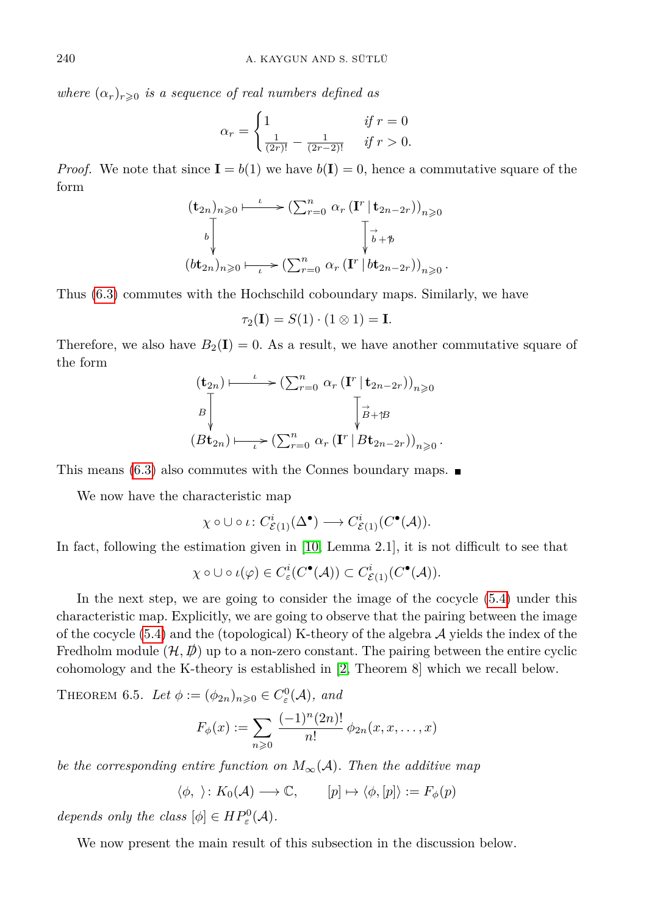*where*  $(\alpha_r)_{r \geq 0}$  *is a sequence of real numbers defined as* 

$$
\alpha_r = \begin{cases} 1 & \text{if } r = 0\\ \frac{1}{(2r)!} - \frac{1}{(2r-2)!} & \text{if } r > 0. \end{cases}
$$

*Proof.* We note that since  $I = b(1)$  we have  $b(I) = 0$ , hence a commutative square of the form

$$
(\mathbf{t}_{2n})_{n\geqslant 0} \longmapsto (\sum_{r=0}^{n} \alpha_r (\mathbf{I}^r | \mathbf{t}_{2n-2r}))_{n\geqslant 0}
$$
  

$$
\downarrow \qquad \qquad \downarrow \qquad \qquad \downarrow \downarrow
$$
  

$$
(\mathbf{b}\mathbf{t}_{2n})_{n\geqslant 0} \longmapsto (\sum_{r=0}^{n} \alpha_r (\mathbf{I}^r | \mathbf{b}\mathbf{t}_{2n-2r}))_{n\geqslant 0}.
$$

Thus [\(6.3\)](#page-18-0) commutes with the Hochschild coboundary maps. Similarly, we have

$$
\tau_2(\mathbf{I}) = S(1) \cdot (1 \otimes 1) = \mathbf{I}.
$$

Therefore, we also have  $B_2(I) = 0$ . As a result, we have another commutative square of the form

$$
(\mathbf{t}_{2n}) \longmapsto (\sum_{r=0}^{n} \alpha_r (\mathbf{I}^r | \mathbf{t}_{2n-2r}))_{n \geqslant 0}
$$
  

$$
B \downarrow \qquad \qquad \downarrow \downarrow \downarrow
$$
  

$$
(B\mathbf{t}_{2n}) \longmapsto (\sum_{r=0}^{n} \alpha_r (\mathbf{I}^r | B\mathbf{t}_{2n-2r}))_{n \geqslant 0}.
$$

This means  $(6.3)$  also commutes with the Connes boundary maps.

We now have the characteristic map

$$
\chi \circ \cup \circ \iota \colon C^i_{\mathcal{E}(1)}(\Delta^\bullet) \longrightarrow C^i_{\mathcal{E}(1)}(C^\bullet(\mathcal{A})).
$$

In fact, following the estimation given in [\[10,](#page-22-6) Lemma 2.1], it is not difficult to see that

$$
\chi \circ \cup \circ \iota(\varphi) \in C^i_{\varepsilon}(C^{\bullet}(\mathcal{A})) \subset C^i_{\mathcal{E}(1)}(C^{\bullet}(\mathcal{A})).
$$

In the next step, we are going to consider the image of the cocycle [\(5.4\)](#page-14-1) under this characteristic map. Explicitly, we are going to observe that the pairing between the image of the cocycle  $(5.4)$  and the (topological) K-theory of the algebra  $\mathcal A$  yields the index of the Fredholm module  $(\mathcal{H}, \mathcal{D})$  up to a non-zero constant. The pairing between the entire cyclic cohomology and the K-theory is established in [\[2,](#page-22-2) Theorem 8] which we recall below.

<span id="page-19-0"></span>THEOREM 6.5. Let  $\phi := (\phi_{2n})_{n \geqslant 0} \in C^0_{\varepsilon}(\mathcal{A})$ , and

$$
F_{\phi}(x) := \sum_{n \geq 0} \frac{(-1)^n (2n)!}{n!} \phi_{2n}(x, x, \dots, x)
$$

*be the corresponding entire function on*  $M_{\infty}(A)$ *. Then the additive map* 

 $\langle \phi, \rangle : K_0(\mathcal{A}) \longrightarrow \mathbb{C}, \qquad [p] \mapsto \langle \phi, [p] \rangle := F_{\phi}(p)$ 

*depends only the class*  $[\phi] \in HP^0_{\varepsilon}(\mathcal{A})$ *.* 

We now present the main result of this subsection in the discussion below.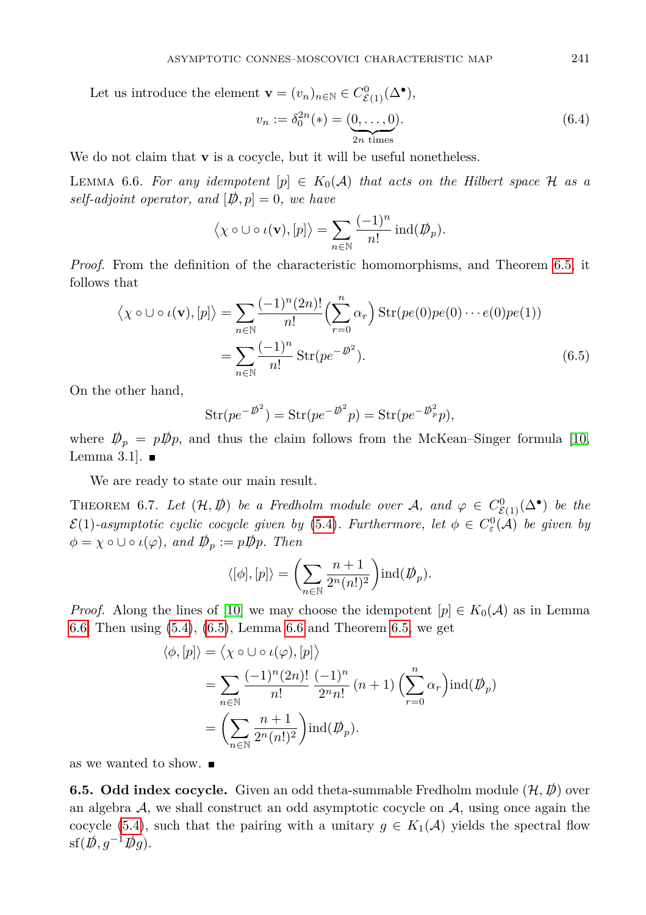Let us introduce the element  $\mathbf{v} = (v_n)_{n \in \mathbb{N}} \in C_{\mathcal{E}(1)}^0(\Delta^{\bullet}),$ 

$$
v_n := \delta_0^{2n}(*) = (\underbrace{0, \dots, 0}_{2n \text{ times}}).
$$
\n(6.4)

<span id="page-20-1"></span>We do not claim that **v** is a cocycle, but it will be useful nonetheless.

LEMMA 6.6. For any idempotent  $[p] \in K_0(\mathcal{A})$  that acts on the Hilbert space  $\mathcal{H}$  as a *self-adjoint operator, and*  $[\psi, p] = 0$ *, we have* 

$$
\langle \chi \circ \cup \circ \iota(\mathbf{v}), [p] \rangle = \sum_{n \in \mathbb{N}} \frac{(-1)^n}{n!} \operatorname{ind}(\mathcal{D}_p).
$$

*Proof.* From the definition of the characteristic homomorphisms, and Theorem [6.5,](#page-19-0) it follows that

$$
\langle \chi \circ \cup \circ \iota(\mathbf{v}), [p] \rangle = \sum_{n \in \mathbb{N}} \frac{(-1)^n (2n)!}{n!} \left( \sum_{r=0}^n \alpha_r \right) \operatorname{Str}(pe(0)pe(0) \cdots e(0)pe(1))
$$

$$
= \sum_{n \in \mathbb{N}} \frac{(-1)^n}{n!} \operatorname{Str}(pe^{-\vec{p}^2}). \tag{6.5}
$$

On the other hand,

<span id="page-20-2"></span>
$$
Str(pe^{-p\overline{\psi}^2}) = Str(pe^{-p\overline{\psi}^2}p) = Str(pe^{-p\overline{\psi}^2}p),
$$

where  $D_p = pD_p$ , and thus the claim follows from the McKean–Singer formula [\[10,](#page-22-6) Lemma 3.1].  $\blacksquare$ 

We are ready to state our main result.

<span id="page-20-0"></span>THEOREM 6.7. Let  $(\mathcal{H}, \mathcal{D})$  be a Fredholm module over A, and  $\varphi \in C^0_{\mathcal{E}(1)}(\Delta^{\bullet})$  be the  $\mathcal{E}(1)$ -asymptotic cyclic cocycle given by [\(5.4\)](#page-14-1). Furthermore, let  $\phi \in C^0_{\varepsilon}(\mathcal{A})$  be given by  $\phi = \chi \circ \cup \circ \iota(\varphi)$ *, and*  $\mathcal{D}_p := p\mathcal{D}_p$ *. Then* 

$$
\langle [\phi], [p] \rangle = \left( \sum_{n \in \mathbb{N}} \frac{n+1}{2^n (n!)^2} \right) \text{ind}(\mathcal{D}_p).
$$

*Proof.* Along the lines of [\[10\]](#page-22-6) we may choose the idempotent  $[p] \in K_0(\mathcal{A})$  as in Lemma [6.6.](#page-20-1) Then using [\(5.4\)](#page-14-1), [\(6.5\)](#page-20-2), Lemma [6.6](#page-20-1) and Theorem [6.5,](#page-19-0) we get

$$
\langle \phi, [p] \rangle = \langle \chi \circ \cup \circ \iota(\varphi), [p] \rangle
$$
  
= 
$$
\sum_{n \in \mathbb{N}} \frac{(-1)^n (2n)!}{n!} \frac{(-1)^n}{2^n n!} (n+1) \left( \sum_{r=0}^n \alpha_r \right) \text{ind}(\mathcal{D}_p)
$$
  
= 
$$
\left( \sum_{n \in \mathbb{N}} \frac{n+1}{2^n (n!)^2} \right) \text{ind}(\mathcal{D}_p).
$$

as we wanted to show.

**6.5. Odd index cocycle.** Given an odd theta-summable Fredholm module  $(\mathcal{H}, \mathcal{D})$  over an algebra  $A$ , we shall construct an odd asymptotic cocycle on  $A$ , using once again the cocycle [\(5.4\)](#page-14-1), such that the pairing with a unitary  $g \in K_1(\mathcal{A})$  yields the spectral flow  $\text{sf}(\cancel{D}, q^{-1}\cancel{D}q)$ .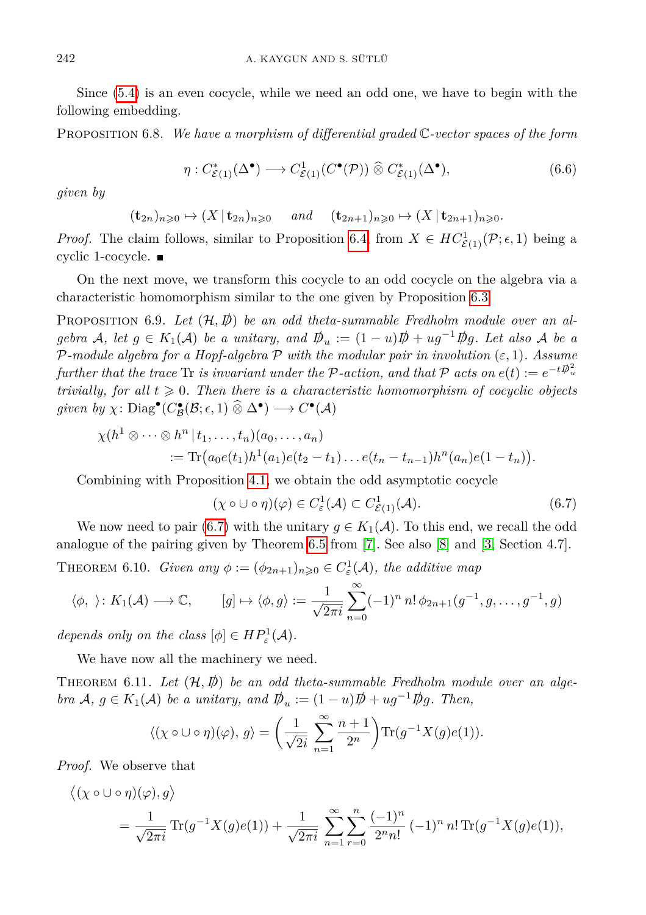Since [\(5.4\)](#page-14-1) is an even cocycle, while we need an odd one, we have to begin with the following embedding.

Proposition 6.8. *We have a morphism of differential graded* C*-vector spaces of the form*

$$
\eta: C^*_{\mathcal{E}(1)}(\Delta^\bullet) \longrightarrow C^1_{\mathcal{E}(1)}(C^\bullet(\mathcal{P})) \widehat{\otimes} C^*_{\mathcal{E}(1)}(\Delta^\bullet), \tag{6.6}
$$

*given by*

 $(\mathbf{t}_{2n})_{n\geq 0} \mapsto (X \,|\, \mathbf{t}_{2n})_{n\geq 0}$  *and*  $(\mathbf{t}_{2n+1})_{n\geq 0} \mapsto (X \,|\, \mathbf{t}_{2n+1})_{n\geq 0}$ *.* 

*Proof.* The claim follows, similar to Proposition [6.4,](#page-18-1) from  $X \in HC^1_{\mathcal{E}(1)}(\mathcal{P}; \epsilon, 1)$  being a cyclic 1-cocycle.

On the next move, we transform this cocycle to an odd cocycle on the algebra via a characteristic homomorphism similar to the one given by Proposition [6.3.](#page-17-0)

PROPOSITION 6.9. Let  $(\mathcal{H}, \mathcal{D})$  be an odd theta-summable Fredholm module over an al*gebra* A, let  $g \in K_1(\mathcal{A})$  be a unitary, and  $D_u := (1 - u)D + u g^{-1} D g$ . Let also A be a  $P$ *-module algebra for a Hopf-algebra*  $P$  *with the modular pair in involution* ( $\varepsilon$ , 1)*. Assume further that the trace* Tr *is invariant under the*  $P$ -action, and that  $P$  acts on  $e(t) := e^{-tD_u^2}$ *trivially, for all*  $t \geq 0$ *. Then there is a characteristic homomorphism of cocyclic objects*  $given \; by \; \chi: \text{Diag}^{\bullet}(C^{\bullet}_{\mathcal{B}}(\mathcal{B}; \epsilon, 1) \widehat{\otimes} \Delta^{\bullet}) \longrightarrow C^{\bullet}(\mathcal{A})$ 

$$
\chi(h^{1} \otimes \cdots \otimes h^{n} | t_{1},..., t_{n}) (a_{0},..., a_{n})
$$
  
:= Tr( $a_{0}e(t_{1})h^{1}(a_{1})e(t_{2}-t_{1})...e(t_{n}-t_{n-1})h^{n}(a_{n})e(1-t_{n})$ ).

Combining with Proposition [4.1,](#page-11-1) we obtain the odd asymptotic cocycle

<span id="page-21-1"></span>
$$
(\chi \circ \cup \circ \eta)(\varphi) \in C^1_{\varepsilon}(\mathcal{A}) \subset C^1_{\mathcal{E}(1)}(\mathcal{A}). \tag{6.7}
$$

We now need to pair [\(6.7\)](#page-21-1) with the unitary  $g \in K_1(\mathcal{A})$ . To this end, we recall the odd analogue of the pairing given by Theorem [6.5](#page-19-0) from [\[7\]](#page-22-14). See also [\[8\]](#page-22-12) and [\[3,](#page-22-7) Section 4.7]. THEOREM 6.10. *Given any*  $\phi := (\phi_{2n+1})_{n \geqslant 0} \in C^1_{\varepsilon}(\mathcal{A})$ , the additive map

$$
\langle \phi, \rangle \colon K_1(\mathcal{A}) \longrightarrow \mathbb{C}, \qquad [g] \mapsto \langle \phi, g \rangle := \frac{1}{\sqrt{2\pi i}} \sum_{n=0}^{\infty} (-1)^n n! \phi_{2n+1}(g^{-1}, g, \dots, g^{-1}, g)
$$

*depends only on the class*  $[\phi] \in HP^1_{\varepsilon}(\mathcal{A})$ *.* 

We have now all the machinery we need.

<span id="page-21-0"></span>THEOREM 6.11. Let  $(\mathcal{H}, \mathcal{D})$  be an odd theta-summable Fredholm module over an alge*bra*  $A, g \in K_1(\mathcal{A})$  *be a unitary, and*  $\mathcal{D}_u := (1 - u)\mathcal{D} + u g^{-1} \mathcal{D} g$ . Then,

$$
\langle (\chi \circ \cup \circ \eta)(\varphi), g \rangle = \left( \frac{1}{\sqrt{2i}} \sum_{n=1}^{\infty} \frac{n+1}{2^n} \right) \text{Tr}(g^{-1}X(g)e(1)).
$$

*Proof.* We observe that

$$
\langle (\chi \circ \cup \circ \eta)(\varphi), g \rangle
$$
  
=  $\frac{1}{\sqrt{2\pi i}} \text{Tr}(g^{-1}X(g)e(1)) + \frac{1}{\sqrt{2\pi i}} \sum_{n=1}^{\infty} \sum_{r=0}^{n} \frac{(-1)^n}{2^n n!} (-1)^n n! \text{Tr}(g^{-1}X(g)e(1)),$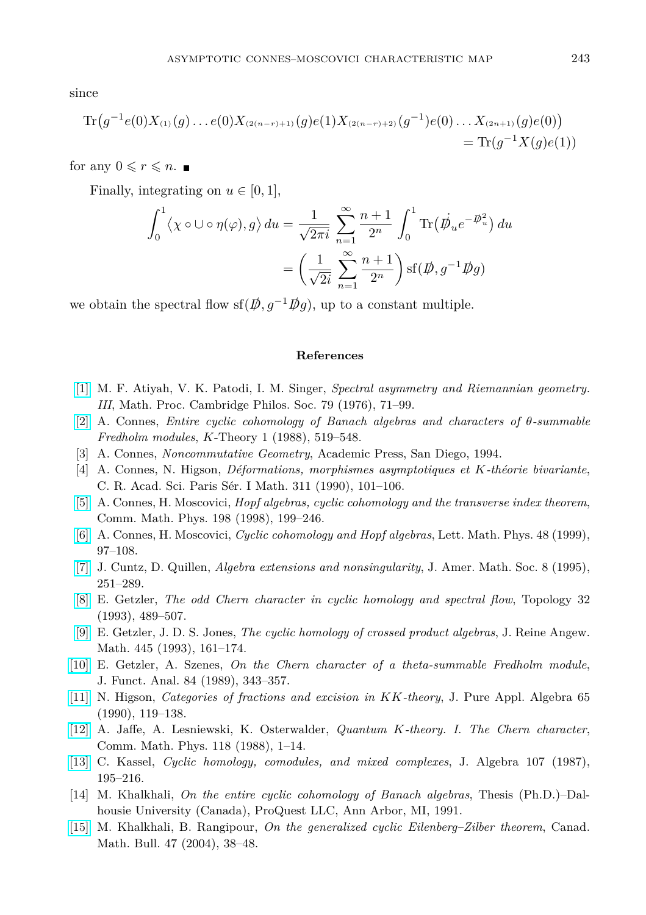since

$$
\mathrm{Tr}\big(g^{-1}e(0)X_{^{(1)}}(g)\dots e(0)X_{^{(2(n-r)+1)}}(g)e(1)X_{^{(2(n-r)+2)}}(g^{-1})e(0)\dots X_{^{(2n+1)}}(g)e(0)\big)\\
=\mathrm{Tr}(g^{-1}X(g)e(1))
$$

for any  $0 \leq r \leq n$ .

Finally, integrating on  $u \in [0, 1]$ ,

$$
\int_0^1 \langle \chi \circ \cup \circ \eta(\varphi), g \rangle du = \frac{1}{\sqrt{2\pi i}} \sum_{n=1}^\infty \frac{n+1}{2^n} \int_0^1 \text{Tr}(\dot{\mathcal{D}_u} e^{-\mathcal{D}_u^2}) du
$$

$$
= \left(\frac{1}{\sqrt{2i}} \sum_{n=1}^\infty \frac{n+1}{2^n}\right) \text{sf}(\mathcal{D}, g^{-1} \mathcal{D}g)
$$

we obtain the spectral flow sf( $\vec{p}, g^{-1}\vec{p}g$ ), up to a constant multiple.

#### **References**

- <span id="page-22-13"></span>[\[1\]](http://dx.doi.org/10.1017/S0305004100052105) M. F. Atiyah, V. K. Patodi, I. M. Singer, *Spectral asymmetry and Riemannian geometry. III*, Math. Proc. Cambridge Philos. Soc. 79 (1976), 71–99.
- <span id="page-22-2"></span>[\[2\]](http://dx.doi.org/10.1007/BF00533785) A. Connes, *Entire cyclic cohomology of Banach algebras and characters of θ-summable Fredholm modules*, *K*-Theory 1 (1988), 519–548.
- <span id="page-22-7"></span>[3] A. Connes, *Noncommutative Geometry*, Academic Press, San Diego, 1994.
- <span id="page-22-4"></span>[4] A. Connes, N. Higson, *Déformations, morphismes asymptotiques et K-théorie bivariante*, C. R. Acad. Sci. Paris Sér. I Math. 311 (1990), 101–106.
- <span id="page-22-0"></span>[\[5\]](http://dx.doi.org/10.1007/s002200050477) A. Connes, H. Moscovici, *Hopf algebras, cyclic cohomology and the transverse index theorem*, Comm. Math. Phys. 198 (1998), 199–246.
- <span id="page-22-1"></span>[\[6\]](http://dx.doi.org/10.1023/A:1007527510226) A. Connes, H. Moscovici, *Cyclic cohomology and Hopf algebras*, Lett. Math. Phys. 48 (1999), 97–108.
- <span id="page-22-14"></span>[\[7\]](http://dx.doi.org/10.2307/2152819) J. Cuntz, D. Quillen, *Algebra extensions and nonsingularity*, J. Amer. Math. Soc. 8 (1995), 251–289.
- <span id="page-22-12"></span>[\[8\]](http://dx.doi.org/10.1016/0040-9383(93)90002-D) E. Getzler, *The odd Chern character in cyclic homology and spectral flow*, Topology 32 (1993), 489–507.
- <span id="page-22-10"></span>[\[9\]](http://dx.doi.org/10.1515/crll.1993.445.161) E. Getzler, J. D. S. Jones, *The cyclic homology of crossed product algebras*, J. Reine Angew. Math. 445 (1993), 161–174.
- <span id="page-22-6"></span>[\[10\]](http://dx.doi.org/10.1016/0022-1236(89)90102-X) E. Getzler, A. Szenes, *On the Chern character of a theta-summable Fredholm module*, J. Funct. Anal. 84 (1989), 343–357.
- <span id="page-22-3"></span>[\[11\]](http://dx.doi.org/10.1016/0022-4049(90)90114-W) N. Higson, *Categories of fractions and excision in KK-theory*, J. Pure Appl. Algebra 65 (1990), 119–138.
- <span id="page-22-5"></span>[\[12\]](http://dx.doi.org/10.1007/BF01218474) A. Jaffe, A. Lesniewski, K. Osterwalder, *Quantum K-theory. I. The Chern character*, Comm. Math. Phys. 118 (1988), 1–14.
- <span id="page-22-8"></span>[\[13\]](http://dx.doi.org/10.1016/0021-8693(87)90086-X) C. Kassel, *Cyclic homology, comodules, and mixed complexes*, J. Algebra 107 (1987), 195–216.
- <span id="page-22-9"></span>[14] M. Khalkhali, *On the entire cyclic cohomology of Banach algebras*, Thesis (Ph.D.)–Dalhousie University (Canada), ProQuest LLC, Ann Arbor, MI, 1991.
- <span id="page-22-11"></span>[\[15\]](http://dx.doi.org/10.4153/CMB-2004-006-x) M. Khalkhali, B. Rangipour, *On the generalized cyclic Eilenberg–Zilber theorem*, Canad. Math. Bull. 47 (2004), 38–48.